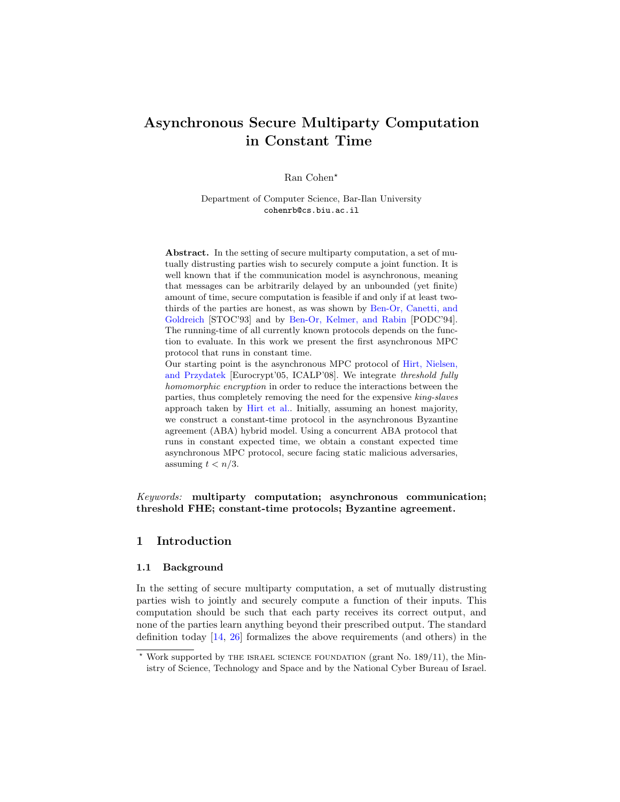# Asynchronous Secure Multiparty Computation in Constant Time

Ran Cohen?

Department of Computer Science, Bar-Ilan University cohenrb@cs.biu.ac.il

Abstract. In the setting of secure multiparty computation, a set of mutually distrusting parties wish to securely compute a joint function. It is well known that if the communication model is asynchronous, meaning that messages can be arbitrarily delayed by an unbounded (yet finite) amount of time, secure computation is feasible if and only if at least twothirds of the parties are honest, as was shown by [Ben-Or, Canetti, and](#page-23-0) [Goldreich](#page-23-0) [STOC'93] and by [Ben-Or, Kelmer, and Rabin](#page-23-1) [PODC'94]. The running-time of all currently known protocols depends on the function to evaluate. In this work we present the first asynchronous MPC protocol that runs in constant time.

Our starting point is the asynchronous MPC protocol of [Hirt, Nielsen,](#page-25-0) [and Przydatek](#page-25-0) [Eurocrypt'05, ICALP'08]. We integrate threshold fully homomorphic encryption in order to reduce the interactions between the parties, thus completely removing the need for the expensive king-slaves approach taken by [Hirt et al..](#page-25-0) Initially, assuming an honest majority, we construct a constant-time protocol in the asynchronous Byzantine agreement (ABA) hybrid model. Using a concurrent ABA protocol that runs in constant expected time, we obtain a constant expected time asynchronous MPC protocol, secure facing static malicious adversaries, assuming  $t < n/3$ .

Keywords: multiparty computation; asynchronous communication; threshold FHE; constant-time protocols; Byzantine agreement.

### 1 Introduction

### 1.1 Background

In the setting of secure multiparty computation, a set of mutually distrusting parties wish to jointly and securely compute a function of their inputs. This computation should be such that each party receives its correct output, and none of the parties learn anything beyond their prescribed output. The standard definition today [\[14,](#page-24-0) [26\]](#page-24-1) formalizes the above requirements (and others) in the

 $*$  Work supported by THE ISRAEL SCIENCE FOUNDATION (grant No. 189/11), the Ministry of Science, Technology and Space and by the National Cyber Bureau of Israel.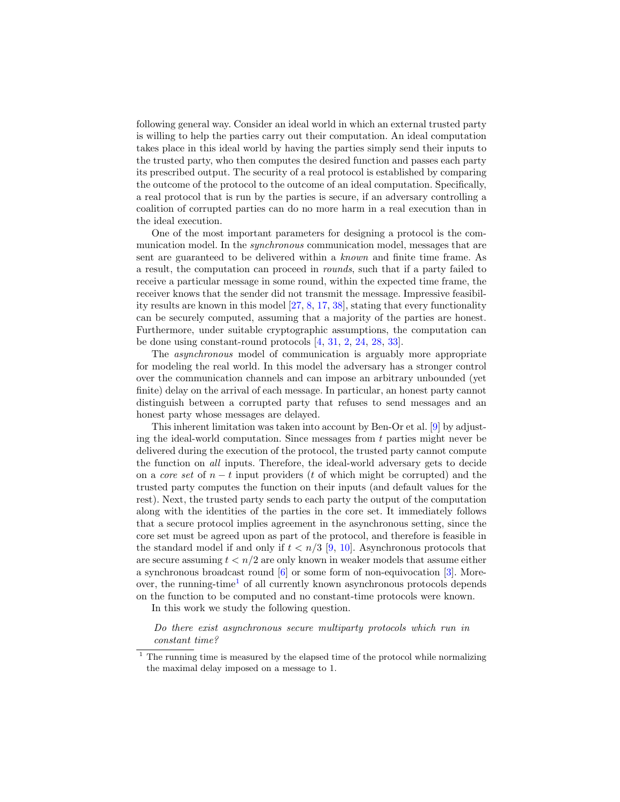following general way. Consider an ideal world in which an external trusted party is willing to help the parties carry out their computation. An ideal computation takes place in this ideal world by having the parties simply send their inputs to the trusted party, who then computes the desired function and passes each party its prescribed output. The security of a real protocol is established by comparing the outcome of the protocol to the outcome of an ideal computation. Specifically, a real protocol that is run by the parties is secure, if an adversary controlling a coalition of corrupted parties can do no more harm in a real execution than in the ideal execution.

One of the most important parameters for designing a protocol is the communication model. In the *synchronous* communication model, messages that are sent are guaranteed to be delivered within a known and finite time frame. As a result, the computation can proceed in rounds, such that if a party failed to receive a particular message in some round, within the expected time frame, the receiver knows that the sender did not transmit the message. Impressive feasibility results are known in this model [\[27,](#page-24-2) [8,](#page-23-2) [17,](#page-24-3) [38\]](#page-25-1), stating that every functionality can be securely computed, assuming that a majority of the parties are honest. Furthermore, under suitable cryptographic assumptions, the computation can be done using constant-round protocols [\[4,](#page-23-3) [31,](#page-25-2) [2,](#page-23-4) [24,](#page-24-4) [28,](#page-24-5) [33\]](#page-25-3).

The *asynchronous* model of communication is arguably more appropriate for modeling the real world. In this model the adversary has a stronger control over the communication channels and can impose an arbitrary unbounded (yet finite) delay on the arrival of each message. In particular, an honest party cannot distinguish between a corrupted party that refuses to send messages and an honest party whose messages are delayed.

This inherent limitation was taken into account by Ben-Or et al. [\[9\]](#page-23-0) by adjusting the ideal-world computation. Since messages from  $t$  parties might never be delivered during the execution of the protocol, the trusted party cannot compute the function on all inputs. Therefore, the ideal-world adversary gets to decide on a *core set* of  $n - t$  input providers (t of which might be corrupted) and the trusted party computes the function on their inputs (and default values for the rest). Next, the trusted party sends to each party the output of the computation along with the identities of the parties in the core set. It immediately follows that a secure protocol implies agreement in the asynchronous setting, since the core set must be agreed upon as part of the protocol, and therefore is feasible in the standard model if and only if  $t < n/3$  [\[9,](#page-23-0) [10\]](#page-23-1). Asynchronous protocols that are secure assuming  $t < n/2$  are only known in weaker models that assume either a synchronous broadcast round  $[6]$  or some form of non-equivocation  $[3]$ . More-over, the running-time<sup>[1](#page-1-0)</sup> of all currently known asynchronous protocols depends on the function to be computed and no constant-time protocols were known.

In this work we study the following question.

### Do there exist asynchronous secure multiparty protocols which run in constant time?

<span id="page-1-0"></span> $1$  The running time is measured by the elapsed time of the protocol while normalizing the maximal delay imposed on a message to 1.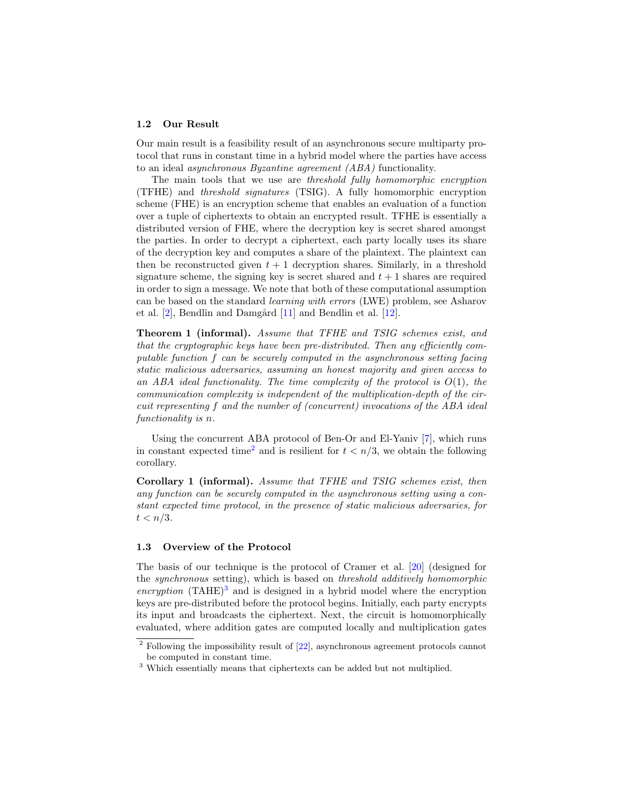#### 1.2 Our Result

Our main result is a feasibility result of an asynchronous secure multiparty protocol that runs in constant time in a hybrid model where the parties have access to an ideal asynchronous Byzantine agreement (ABA) functionality.

The main tools that we use are *threshold fully homomorphic encryption* (TFHE) and threshold signatures (TSIG). A fully homomorphic encryption scheme (FHE) is an encryption scheme that enables an evaluation of a function over a tuple of ciphertexts to obtain an encrypted result. TFHE is essentially a distributed version of FHE, where the decryption key is secret shared amongst the parties. In order to decrypt a ciphertext, each party locally uses its share of the decryption key and computes a share of the plaintext. The plaintext can then be reconstructed given  $t + 1$  decryption shares. Similarly, in a threshold signature scheme, the signing key is secret shared and  $t + 1$  shares are required in order to sign a message. We note that both of these computational assumption can be based on the standard learning with errors (LWE) problem, see Asharov et al.  $[2]$ , Bendlin and Damgård  $[11]$  and Bendlin et al.  $[12]$ .

<span id="page-2-2"></span>Theorem 1 (informal). Assume that TFHE and TSIG schemes exist, and that the cryptographic keys have been pre-distributed. Then any efficiently computable function f can be securely computed in the asynchronous setting facing static malicious adversaries, assuming an honest majority and given access to an ABA ideal functionality. The time complexity of the protocol is  $O(1)$ , the communication complexity is independent of the multiplication-depth of the circuit representing f and the number of (concurrent) invocations of the ABA ideal functionality is n.

<span id="page-2-3"></span>Using the concurrent ABA protocol of Ben-Or and El-Yaniv [\[7\]](#page-23-9), which runs in constant expected time<sup>[2](#page-2-0)</sup> and is resilient for  $t < n/3$ , we obtain the following corollary.

Corollary 1 (informal). Assume that TFHE and TSIG schemes exist, then any function can be securely computed in the asynchronous setting using a constant expected time protocol, in the presence of static malicious adversaries, for  $t < n/3$ .

### 1.3 Overview of the Protocol

The basis of our technique is the protocol of Cramer et al. [\[20\]](#page-24-6) (designed for the synchronous setting), which is based on threshold additively homomorphic encryption  $(TAHE)^3$  $(TAHE)^3$  and is designed in a hybrid model where the encryption keys are pre-distributed before the protocol begins. Initially, each party encrypts its input and broadcasts the ciphertext. Next, the circuit is homomorphically evaluated, where addition gates are computed locally and multiplication gates

<span id="page-2-0"></span><sup>&</sup>lt;sup>2</sup> Following the impossibility result of [\[22\]](#page-24-7), asynchronous agreement protocols cannot be computed in constant time.

<span id="page-2-1"></span><sup>&</sup>lt;sup>3</sup> Which essentially means that ciphertexts can be added but not multiplied.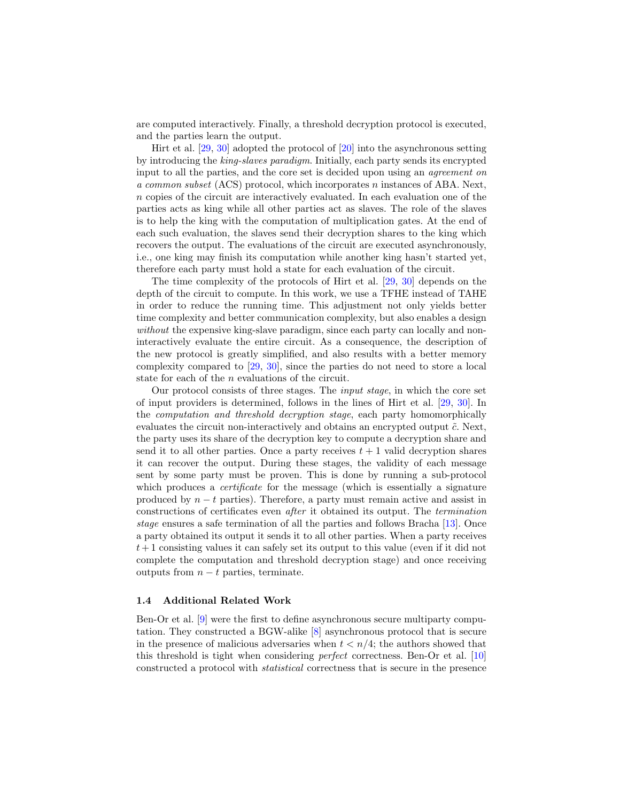are computed interactively. Finally, a threshold decryption protocol is executed, and the parties learn the output.

Hirt et al. [\[29,](#page-25-0) [30\]](#page-25-4) adopted the protocol of [\[20\]](#page-24-6) into the asynchronous setting by introducing the king-slaves paradigm. Initially, each party sends its encrypted input to all the parties, and the core set is decided upon using an agreement on a common subset (ACS) protocol, which incorporates n instances of ABA. Next, n copies of the circuit are interactively evaluated. In each evaluation one of the parties acts as king while all other parties act as slaves. The role of the slaves is to help the king with the computation of multiplication gates. At the end of each such evaluation, the slaves send their decryption shares to the king which recovers the output. The evaluations of the circuit are executed asynchronously, i.e., one king may finish its computation while another king hasn't started yet, therefore each party must hold a state for each evaluation of the circuit.

The time complexity of the protocols of Hirt et al. [\[29,](#page-25-0) [30\]](#page-25-4) depends on the depth of the circuit to compute. In this work, we use a TFHE instead of TAHE in order to reduce the running time. This adjustment not only yields better time complexity and better communication complexity, but also enables a design without the expensive king-slave paradigm, since each party can locally and noninteractively evaluate the entire circuit. As a consequence, the description of the new protocol is greatly simplified, and also results with a better memory complexity compared to [\[29,](#page-25-0) [30\]](#page-25-4), since the parties do not need to store a local state for each of the *n* evaluations of the circuit.

Our protocol consists of three stages. The input stage, in which the core set of input providers is determined, follows in the lines of Hirt et al. [\[29,](#page-25-0) [30\]](#page-25-4). In the computation and threshold decryption stage, each party homomorphically evaluates the circuit non-interactively and obtains an encrypted output  $\tilde{c}$ . Next, the party uses its share of the decryption key to compute a decryption share and send it to all other parties. Once a party receives  $t + 1$  valid decryption shares it can recover the output. During these stages, the validity of each message sent by some party must be proven. This is done by running a sub-protocol which produces a *certificate* for the message (which is essentially a signature produced by  $n - t$  parties). Therefore, a party must remain active and assist in constructions of certificates even after it obtained its output. The termination stage ensures a safe termination of all the parties and follows Bracha [\[13\]](#page-24-8). Once a party obtained its output it sends it to all other parties. When a party receives  $t+1$  consisting values it can safely set its output to this value (even if it did not complete the computation and threshold decryption stage) and once receiving outputs from  $n - t$  parties, terminate.

#### 1.4 Additional Related Work

Ben-Or et al. [\[9\]](#page-23-0) were the first to define asynchronous secure multiparty computation. They constructed a BGW-alike [\[8\]](#page-23-2) asynchronous protocol that is secure in the presence of malicious adversaries when  $t < n/4$ ; the authors showed that this threshold is tight when considering perfect correctness. Ben-Or et al. [\[10\]](#page-23-1) constructed a protocol with statistical correctness that is secure in the presence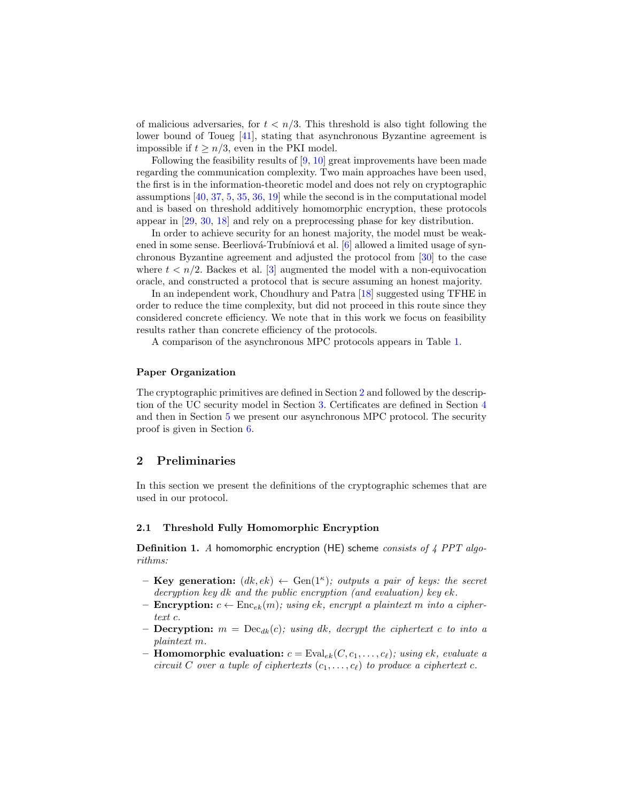of malicious adversaries, for  $t < n/3$ . This threshold is also tight following the lower bound of Toueg [\[41\]](#page-25-5), stating that asynchronous Byzantine agreement is impossible if  $t \geq n/3$ , even in the PKI model.

Following the feasibility results of [\[9,](#page-23-0) [10\]](#page-23-1) great improvements have been made regarding the communication complexity. Two main approaches have been used, the first is in the information-theoretic model and does not rely on cryptographic assumptions [\[40,](#page-25-6) [37,](#page-25-7) [5,](#page-23-10) [35,](#page-25-8) [36,](#page-25-9) [19\]](#page-24-9) while the second is in the computational model and is based on threshold additively homomorphic encryption, these protocols appear in [\[29,](#page-25-0) [30,](#page-25-4) [18\]](#page-24-10) and rely on a preprocessing phase for key distribution.

In order to achieve security for an honest majority, the model must be weakened in some sense. Beerliová-Trubíniová et al.  $[6]$  allowed a limited usage of synchronous Byzantine agreement and adjusted the protocol from [\[30\]](#page-25-4) to the case where  $t < n/2$ . Backes et al. [\[3\]](#page-23-6) augmented the model with a non-equivocation oracle, and constructed a protocol that is secure assuming an honest majority.

In an independent work, Choudhury and Patra [\[18\]](#page-24-10) suggested using TFHE in order to reduce the time complexity, but did not proceed in this route since they considered concrete efficiency. We note that in this work we focus on feasibility results rather than concrete efficiency of the protocols.

A comparison of the asynchronous MPC protocols appears in Table [1.](#page-5-0)

### Paper Organization

The cryptographic primitives are defined in Section [2](#page-4-0) and followed by the description of the UC security model in Section [3.](#page-6-0) Certificates are defined in Section [4](#page-10-0) and then in Section [5](#page-14-0) we present our asynchronous MPC protocol. The security proof is given in Section [6.](#page-18-0)

### <span id="page-4-0"></span>2 Preliminaries

In this section we present the definitions of the cryptographic schemes that are used in our protocol.

#### 2.1 Threshold Fully Homomorphic Encryption

**Definition 1.** A homomorphic encryption (HE) scheme consists of  $\angle$  PPT algorithms:

- Key generation:  $(dk, ek) \leftarrow Gen(1^{\kappa})$ ; outputs a pair of keys: the secret decryption key dk and the public encryption (and evaluation) key ek.
- **Encryption:**  $c \leftarrow \text{Enc}_{ek}(m)$ ; using ek, encrypt a plaintext m into a ciphertext c.
- **Decryption:**  $m = \text{Dec}_{dk}(c)$ ; using dk, decrypt the ciphertext c to into a plaintext m.
- Homomorphic evaluation:  $c = \text{Eval}_{ek}(C, c_1, \ldots, c_\ell)$ ; using ek, evaluate a circuit C over a tuple of ciphertexts  $(c_1, \ldots, c_\ell)$  to produce a ciphertext c.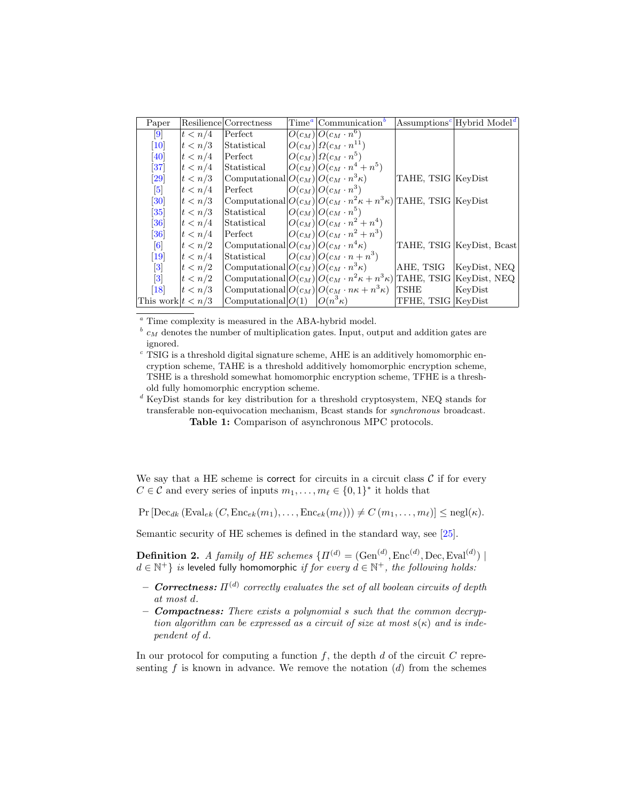<span id="page-5-0"></span>

| Paper                 |         | Resilience Correctness                           | Time <sup>a</sup> Communication <sup>b</sup>                                      |                    | Assumptions <sup>c</sup> Hybrid Model <sup>d</sup> |
|-----------------------|---------|--------------------------------------------------|-----------------------------------------------------------------------------------|--------------------|----------------------------------------------------|
| $\left[9\right]$      | t < n/4 | Perfect                                          | $O(c_M)$ $O(c_M \cdot n^6)$                                                       |                    |                                                    |
| $[10]$                | t < n/3 | Statistical                                      | $O(c_M) \big  \Omega(c_M \cdot n^{11})$                                           |                    |                                                    |
| [40]                  | t < n/4 | Perfect                                          | $O(c_M) \big  \Omega(c_M \cdot n^5)$                                              |                    |                                                    |
| 37                    | t < n/4 | Statistical                                      | $ O(c_M) O(c_M \cdot n^4 + n^5)$                                                  |                    |                                                    |
| [29]                  | t < n/3 | Computational $O(c_M)$ $O(c_M \cdot n^3 \kappa)$ |                                                                                   | TAHE, TSIG KeyDist |                                                    |
| $\vert 5 \vert$       | t < n/4 | Perfect                                          | $O(c_M)$ $O(c_M \cdot n^3)$                                                       |                    |                                                    |
| $\left[30\right]$     | t < n/3 |                                                  | Computational $ O(c_M) O(c_M \cdot n^2 \kappa + n^3 \kappa) $ TAHE, TSIG  KeyDist |                    |                                                    |
| $\left[35\right]$     | t < n/3 | Statistical                                      | $ O(c_M) O(c_M\cdot n^5) $                                                        |                    |                                                    |
| $\left 36\right $     | t < n/4 | Statistical                                      | $ O(c_M) O(c_M \cdot n^2 + n^4)$                                                  |                    |                                                    |
| $\left[36\right]$     | t < n/4 | Perfect                                          | $ O(c_M) O(c_M \cdot n^2 + n^3)$                                                  |                    |                                                    |
| $\vert 6 \vert$       | t < n/2 | $ Computational O(c_M) O(c_M \cdot n^4 \kappa)$  |                                                                                   |                    | TAHE, TSIG KeyDist, Bcast                          |
| $\left[19\right]$     | t < n/4 | Statistical                                      | $ O(c_M) O(c_M \cdot n + n^3)$                                                    |                    |                                                    |
| $\vert 3 \vert$       | t < n/2 | Computational $O(c_M)$ $O(c_M \cdot n^3 \kappa)$ |                                                                                   | AHE, TSIG          | KeyDist, NEQ                                       |
| $\vert 3 \vert$       | t < n/2 |                                                  | Computational $O(c_M)$ $O(c_M \cdot n^2 \kappa + n^3 \kappa)$                     | TAHE, TSIG         | KeyDist, NEQ                                       |
| $\left[18\right]$     | t < n/3 |                                                  | Computational $O(c_M)$ $O(c_M \cdot n\kappa + n^3\kappa)$                         | <b>TSHE</b>        | KeyDist                                            |
| This work $ t  < n/3$ |         | $\text{Computational} O(1)$                      | $ O(n^3\kappa) $                                                                  | TFHE, TSIG KeyDist |                                                    |

<span id="page-5-1"></span><sup>a</sup> Time complexity is measured in the ABA-hybrid model.

<span id="page-5-2"></span> $b_{cM}$  denotes the number of multiplication gates. Input, output and addition gates are ignored.

<span id="page-5-3"></span> $^c$  TSIG is a threshold digital signature scheme, AHE is an additively homomorphic encryption scheme, TAHE is a threshold additively homomorphic encryption scheme, TSHE is a threshold somewhat homomorphic encryption scheme, TFHE is a threshold fully homomorphic encryption scheme.

<span id="page-5-4"></span> $\real^d$  KeyDist stands for key distribution for a threshold cryptosystem, NEQ stands for transferable non-equivocation mechanism, Bcast stands for synchronous broadcast. Table 1: Comparison of asynchronous MPC protocols.

We say that a HE scheme is correct for circuits in a circuit class  $\mathcal C$  if for every  $C \in \mathcal{C}$  and every series of inputs  $m_1, \ldots, m_\ell \in \{0, 1\}^*$  it holds that

 $Pr[\text{Dec}_{dk}(\text{Eval}_{ek}(\text{C}, \text{Enc}_{ek}(m_1), \ldots, \text{Enc}_{ek}(m_\ell))) \neq C (m_1, \ldots, m_\ell)] \leq \text{negl}(\kappa).$ 

Semantic security of HE schemes is defined in the standard way, see [\[25\]](#page-24-11).

**Definition 2.** A family of HE schemes  $\{\Pi^{(d)} = (\text{Gen}^{(d)}, \text{Enc}^{(d)}, \text{Dec}, \text{Eval}^{(d)})\}\$  $d \in \mathbb{N}^+$  is leveled fully homomorphic if for every  $d \in \mathbb{N}^+$ , the following holds:

- $-$  Correctness:  $\Pi^{(d)}$  correctly evaluates the set of all boolean circuits of depth at most d.
- Compactness: There exists a polynomial s such that the common decryption algorithm can be expressed as a circuit of size at most  $s(\kappa)$  and is independent of d.

In our protocol for computing a function  $f$ , the depth  $d$  of the circuit  $C$  representing  $f$  is known in advance. We remove the notation  $(d)$  from the schemes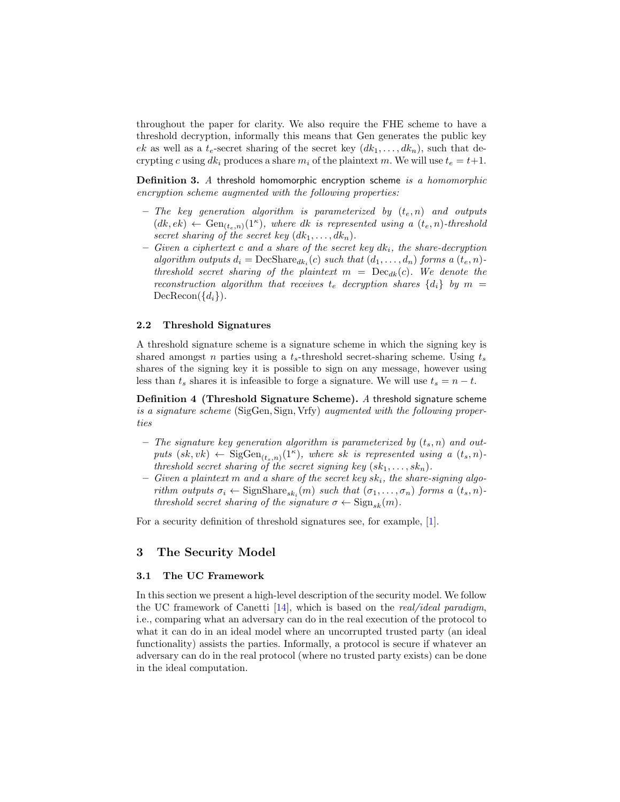throughout the paper for clarity. We also require the FHE scheme to have a threshold decryption, informally this means that Gen generates the public key ek as well as a  $t_e$ -secret sharing of the secret key  $(dk_1, \ldots, dk_n)$ , such that decrypting c using  $dk_i$  produces a share  $m_i$  of the plaintext m. We will use  $t_e = t+1$ .

Definition 3. A threshold homomorphic encryption scheme is a homomorphic encryption scheme augmented with the following properties:

- The key generation algorithm is parameterized by  $(t_e, n)$  and outputs  $(dk, ek) \leftarrow \text{Gen}_{(t_e,n)}(1^{\kappa}),$  where dk is represented using a  $(t_e, n)$ -threshold secret sharing of the secret key  $(dk_1, \ldots, dk_n)$ .
- Given a ciphertext c and a share of the secret key  $dk_i$ , the share-decryption algorithm outputs  $d_i = \text{DecShare}_{dk_i}(c)$  such that  $(d_1, \ldots, d_n)$  forms a  $(t_e, n)$ threshold secret sharing of the plaintext  $m = \text{Dec}_{dk}(c)$ . We denote the reconstruction algorithm that receives  $t_e$  decryption shares  $\{d_i\}$  by  $m =$  $\text{DecRecon}(\{d_i\})$ .

#### 2.2 Threshold Signatures

A threshold signature scheme is a signature scheme in which the signing key is shared amongst n parties using a  $t_s$ -threshold secret-sharing scheme. Using  $t_s$ shares of the signing key it is possible to sign on any message, however using less than  $t_s$  shares it is infeasible to forge a signature. We will use  $t_s = n - t$ .

Definition 4 (Threshold Signature Scheme). A threshold signature scheme is a signature scheme (SigGen, Sign, Vrfy) augmented with the following properties

- The signature key generation algorithm is parameterized by  $(t_s, n)$  and out $puts (sk, vk) \leftarrow \text{SigGen}_{(t_s,n)}(1^{\kappa}), \text{ where } sk \text{ is represented using a } (t_s, n)$ threshold secret sharing of the secret signing key  $(sk_1, \ldots, sk_n)$ .
- Given a plaintext m and a share of the secret key  $sk_i$ , the share-signing algorithm outputs  $\sigma_i \leftarrow \text{SignShare}_{sk_i}(m)$  such that  $(\sigma_1, \ldots, \sigma_n)$  forms a  $(t_s, n)$ threshold secret sharing of the signature  $\sigma \leftarrow \text{Sign}_{sk}(m)$ .

For a security definition of threshold signatures see, for example, [\[1\]](#page-23-11).

### <span id="page-6-0"></span>3 The Security Model

### 3.1 The UC Framework

In this section we present a high-level description of the security model. We follow the UC framework of Canetti  $[14]$ , which is based on the *real/ideal paradigm*, i.e., comparing what an adversary can do in the real execution of the protocol to what it can do in an ideal model where an uncorrupted trusted party (an ideal functionality) assists the parties. Informally, a protocol is secure if whatever an adversary can do in the real protocol (where no trusted party exists) can be done in the ideal computation.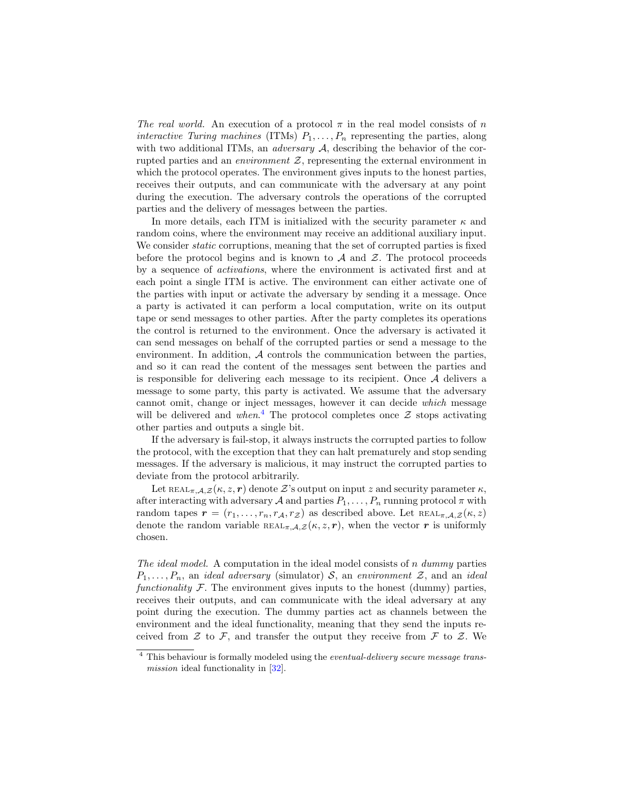The real world. An execution of a protocol  $\pi$  in the real model consists of n interactive Turing machines (ITMs)  $P_1, \ldots, P_n$  representing the parties, along with two additional ITMs, an *adversary*  $A$ , describing the behavior of the corrupted parties and an *environment*  $Z$ , representing the external environment in which the protocol operates. The environment gives inputs to the honest parties, receives their outputs, and can communicate with the adversary at any point during the execution. The adversary controls the operations of the corrupted parties and the delivery of messages between the parties.

In more details, each ITM is initialized with the security parameter  $\kappa$  and random coins, where the environment may receive an additional auxiliary input. We consider *static* corruptions, meaning that the set of corrupted parties is fixed before the protocol begins and is known to  $A$  and  $Z$ . The protocol proceeds by a sequence of activations, where the environment is activated first and at each point a single ITM is active. The environment can either activate one of the parties with input or activate the adversary by sending it a message. Once a party is activated it can perform a local computation, write on its output tape or send messages to other parties. After the party completes its operations the control is returned to the environment. Once the adversary is activated it can send messages on behalf of the corrupted parties or send a message to the environment. In addition,  $A$  controls the communication between the parties, and so it can read the content of the messages sent between the parties and is responsible for delivering each message to its recipient. Once  $A$  delivers a message to some party, this party is activated. We assume that the adversary cannot omit, change or inject messages, however it can decide which message will be delivered and when.<sup>[4](#page-7-0)</sup> The protocol completes once  $\mathcal Z$  stops activating other parties and outputs a single bit.

If the adversary is fail-stop, it always instructs the corrupted parties to follow the protocol, with the exception that they can halt prematurely and stop sending messages. If the adversary is malicious, it may instruct the corrupted parties to deviate from the protocol arbitrarily.

Let REAL<sub>π,  $A, \mathcal{Z}(\kappa, z, r)$  denote  $\mathcal{Z}$ 's output on input z and security parameter  $\kappa$ ,</sub> after interacting with adversary A and parties  $P_1, \ldots, P_n$  running protocol  $\pi$  with random tapes  $\mathbf{r} = (r_1, \ldots, r_n, r_{\mathcal{A}}, r_{\mathcal{Z}})$  as described above. Let  $REAL_{\pi, \mathcal{A}, \mathcal{Z}}(\kappa, z)$ denote the random variable  $REAL_{\pi,\mathcal{A},\mathcal{Z}}(\kappa,z,\mathbf{r})$ , when the vector r is uniformly chosen.

The ideal model. A computation in the ideal model consists of n dummy parties  $P_1, \ldots, P_n$ , an *ideal adversary* (simulator) S, an *environment* Z, and an *ideal* functionality  $\mathcal F$ . The environment gives inputs to the honest (dummy) parties, receives their outputs, and can communicate with the ideal adversary at any point during the execution. The dummy parties act as channels between the environment and the ideal functionality, meaning that they send the inputs received from  $\mathcal Z$  to  $\mathcal F$ , and transfer the output they receive from  $\mathcal F$  to  $\mathcal Z$ . We

<span id="page-7-0"></span><sup>&</sup>lt;sup>4</sup> This behaviour is formally modeled using the eventual-delivery secure message trans-mission ideal functionality in [\[32\]](#page-25-10).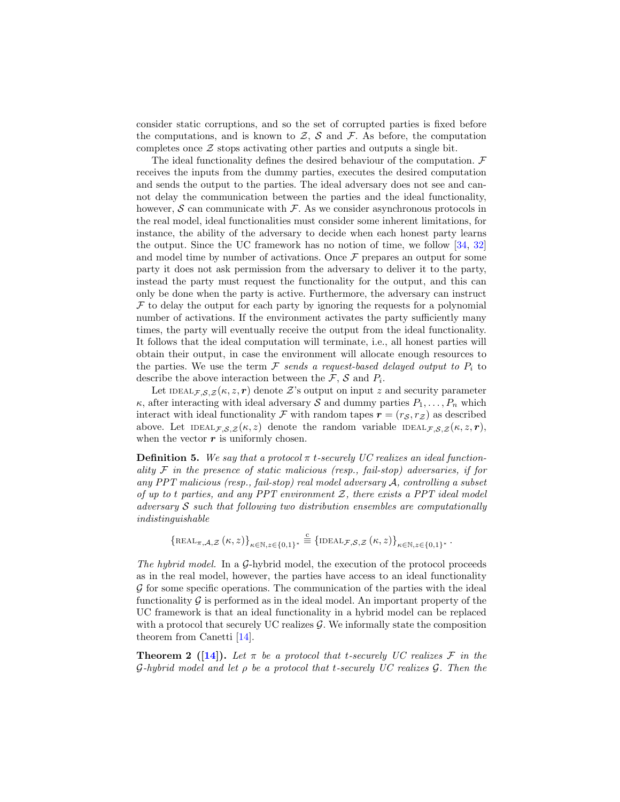consider static corruptions, and so the set of corrupted parties is fixed before the computations, and is known to  $\mathcal{Z}, \mathcal{S}$  and  $\mathcal{F}$ . As before, the computation completes once  $\mathcal Z$  stops activating other parties and outputs a single bit.

The ideal functionality defines the desired behaviour of the computation.  $\mathcal F$ receives the inputs from the dummy parties, executes the desired computation and sends the output to the parties. The ideal adversary does not see and cannot delay the communication between the parties and the ideal functionality, however,  $\mathcal S$  can communicate with  $\mathcal F$ . As we consider asynchronous protocols in the real model, ideal functionalities must consider some inherent limitations, for instance, the ability of the adversary to decide when each honest party learns the output. Since the UC framework has no notion of time, we follow [\[34,](#page-25-11) [32\]](#page-25-10) and model time by number of activations. Once  $\mathcal F$  prepares an output for some party it does not ask permission from the adversary to deliver it to the party, instead the party must request the functionality for the output, and this can only be done when the party is active. Furthermore, the adversary can instruct  $F$  to delay the output for each party by ignoring the requests for a polynomial number of activations. If the environment activates the party sufficiently many times, the party will eventually receive the output from the ideal functionality. It follows that the ideal computation will terminate, i.e., all honest parties will obtain their output, in case the environment will allocate enough resources to the parties. We use the term  $\mathcal F$  sends a request-based delayed output to  $P_i$  to describe the above interaction between the  $\mathcal{F}, \mathcal{S}$  and  $P_i$ .

Let IDEAL<sub>F, S, Z</sub>( $\kappa$ , z, r) denote Z's output on input z and security parameter  $\kappa$ , after interacting with ideal adversary S and dummy parties  $P_1, \ldots, P_n$  which interact with ideal functionality F with random tapes  $r = (r_S, r_Z)$  as described above. Let  $\text{IDEAL}_{\mathcal{F},\mathcal{S},\mathcal{Z}}(\kappa,z)$  denote the random variable  $\text{IDEAL}_{\mathcal{F},\mathcal{S},\mathcal{Z}}(\kappa,z,\mathbf{r}),$ when the vector  $r$  is uniformly chosen.

**Definition 5.** We say that a protocol  $\pi$  t-securely UC realizes an ideal functionality  $\mathcal F$  in the presence of static malicious (resp., fail-stop) adversaries, if for any PPT malicious (resp., fail-stop) real model adversary A, controlling a subset of up to t parties, and any PPT environment  $\mathcal{Z}$ , there exists a PPT ideal model adversary  $S$  such that following two distribution ensembles are computationally indistinguishable

$$
\left\{\text{Real}_{\pi,\mathcal{A},\mathcal{Z}}\left(\kappa,z\right)\right\}_{\kappa\in\mathbb{N},z\in\{0,1\}^*}\stackrel{c}{\equiv}\left\{\text{IDEal}_{\mathcal{F},\mathcal{S},\mathcal{Z}}\left(\kappa,z\right)\right\}_{\kappa\in\mathbb{N},z\in\{0,1\}^*}.
$$

The hybrid model. In a G-hybrid model, the execution of the protocol proceeds as in the real model, however, the parties have access to an ideal functionality  $\mathcal G$  for some specific operations. The communication of the parties with the ideal functionality  $\mathcal G$  is performed as in the ideal model. An important property of the UC framework is that an ideal functionality in a hybrid model can be replaced with a protocol that securely UC realizes  $\mathcal G$ . We informally state the composition theorem from Canetti [\[14\]](#page-24-0).

**Theorem 2** ([\[14\]](#page-24-0)). Let  $\pi$  be a protocol that t-securely UC realizes  $\mathcal{F}$  in the  $G$ -hybrid model and let  $\rho$  be a protocol that t-securely UC realizes  $G$ . Then the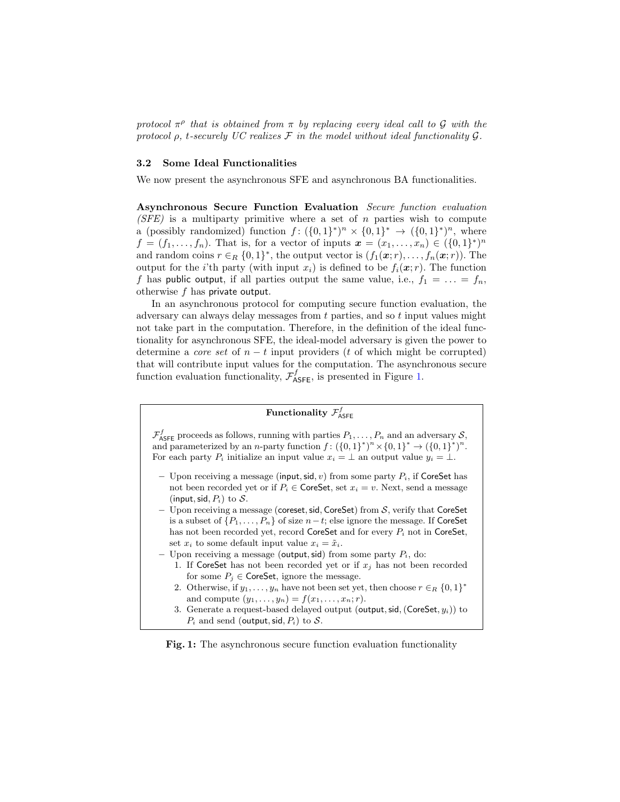protocol  $\pi^{\rho}$  that is obtained from  $\pi$  by replacing every ideal call to G with the protocol  $\rho$ , t-securely UC realizes F in the model without ideal functionality G.

#### 3.2 Some Ideal Functionalities

We now present the asynchronous SFE and asynchronous BA functionalities.

Asynchronous Secure Function Evaluation Secure function evaluation  $(SFE)$  is a multiparty primitive where a set of n parties wish to compute a (possibly randomized) function  $f: (\{0,1\}^*)^n \times \{0,1\}^* \rightarrow (\{0,1\}^*)^n$ , where  $f = (f_1, \ldots, f_n)$ . That is, for a vector of inputs  $\boldsymbol{x} = (x_1, \ldots, x_n) \in (\{0,1\}^*)^n$ and random coins  $r \in_R \{0,1\}^*$ , the output vector is  $(f_1(\boldsymbol{x}; r), \ldots, f_n(\boldsymbol{x}; r))$ . The output for the *i*'th party (with input  $x_i$ ) is defined to be  $f_i(x; r)$ . The function f has public output, if all parties output the same value, i.e.,  $f_1 = \ldots = f_n$ , otherwise f has private output.

In an asynchronous protocol for computing secure function evaluation, the adversary can always delay messages from  $t$  parties, and so  $t$  input values might not take part in the computation. Therefore, in the definition of the ideal functionality for asynchronous SFE, the ideal-model adversary is given the power to determine a *core set* of  $n - t$  input providers (t of which might be corrupted) that will contribute input values for the computation. The asynchronous secure function evaluation functionality,  $\mathcal{F}^f_{\mathsf{ASFE}}$ , is presented in Figure [1.](#page-9-0)

## Functionality  $\mathcal{F}^f_\mathsf{ASFE}$

<span id="page-9-0"></span> $\mathcal{F}_{\textsf{ASFE}}^f$  proceeds as follows, running with parties  $P_1, \ldots, P_n$  and an adversary  $\mathcal{S},$ and parameterized by an *n*-party function  $f: (\{0,1\}^*)^n \times \{0,1\}^* \to (\{0,1\}^*)^n$ . For each party  $P_i$  initialize an input value  $x_i = \perp$  an output value  $y_i = \perp$ .

- Upon receiving a message (input, sid,  $v$ ) from some party  $P_i$ , if CoreSet has not been recorded yet or if  $P_i \in \mathsf{CoreSet}$ , set  $x_i = v$ . Next, send a message (input, sid,  $P_i$ ) to  $S$ .
- Upon receiving a message (coreset, sid, CoreSet) from  $S$ , verify that CoreSet is a subset of  $\{P_1, \ldots, P_n\}$  of size  $n-t$ ; else ignore the message. If CoreSet has not been recorded yet, record CoreSet and for every  $P_i$  not in CoreSet, set  $x_i$  to some default input value  $x_i = \tilde{x}_i$ .
- Upon receiving a message (output, sid) from some party  $P_i$ , do:
	- 1. If CoreSet has not been recorded yet or if  $x_i$  has not been recorded for some  $P_j \in \text{CoreSet}$ , ignore the message.
	- 2. Otherwise, if  $y_1, \ldots, y_n$  have not been set yet, then choose  $r \in_R \{0,1\}^*$ and compute  $(y_1, ..., y_n) = f(x_1, ..., x_n; r)$ .
	- 3. Generate a request-based delayed output (output, sid, (CoreSet,  $y_i$ )) to  $P_i$  and send (output, sid,  $P_i$ ) to S.

#### Fig. 1: The asynchronous secure function evaluation functionality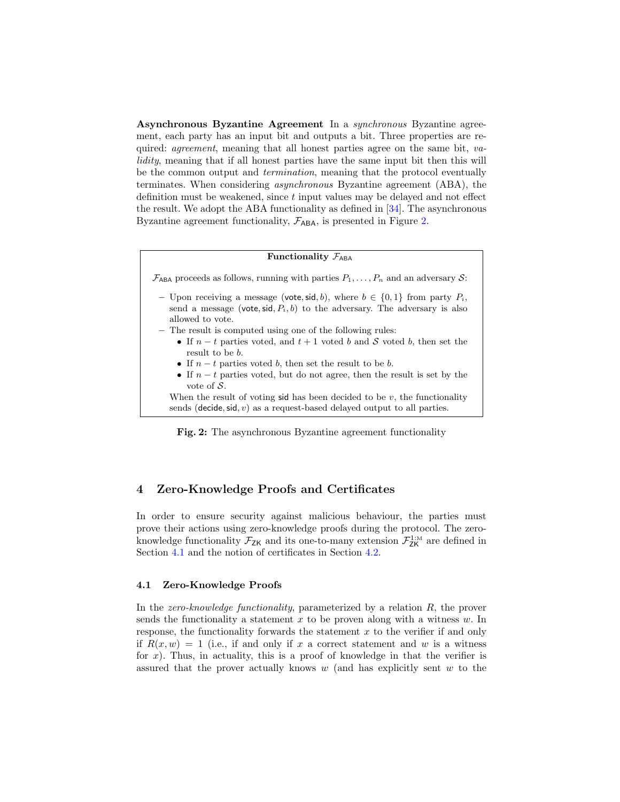Asynchronous Byzantine Agreement In a synchronous Byzantine agreement, each party has an input bit and outputs a bit. Three properties are required: *agreement*, meaning that all honest parties agree on the same bit, validity, meaning that if all honest parties have the same input bit then this will be the common output and termination, meaning that the protocol eventually terminates. When considering asynchronous Byzantine agreement (ABA), the definition must be weakened, since  $t$  input values may be delayed and not effect the result. We adopt the ABA functionality as defined in [\[34\]](#page-25-11). The asynchronous Byzantine agreement functionality,  $\mathcal{F}_{ABA}$ , is presented in Figure [2.](#page-10-1)

### Functionality  $\mathcal{F}_{ABA}$

<span id="page-10-1"></span> $\mathcal{F}_{ABA}$  proceeds as follows, running with parties  $P_1, \ldots, P_n$  and an adversary  $\mathcal{S}$ :

- Upon receiving a message (vote, sid, b), where  $b \in \{0, 1\}$  from party  $P_i$ , send a message (vote, sid,  $P_i$ , b) to the adversary. The adversary is also allowed to vote.
- The result is computed using one of the following rules:
	- If  $n-t$  parties voted, and  $t+1$  voted b and S voted b, then set the result to be b.
	- If  $n-t$  parties voted b, then set the result to be b.
	- If  $n-t$  parties voted, but do not agree, then the result is set by the vote of S.

When the result of voting sid has been decided to be  $v$ , the functionality sends (decide, sid,  $v$ ) as a request-based delayed output to all parties.

Fig. 2: The asynchronous Byzantine agreement functionality

### <span id="page-10-0"></span>4 Zero-Knowledge Proofs and Certificates

In order to ensure security against malicious behaviour, the parties must prove their actions using zero-knowledge proofs during the protocol. The zeroknowledge functionality  $\mathcal{F}_{\mathsf{ZK}}$  and its one-to-many extension  $\mathcal{F}_{\mathsf{ZK}}^{1:M}$  are defined in Section [4.1](#page-10-2) and the notion of certificates in Section [4.2.](#page-12-0)

### <span id="page-10-2"></span>4.1 Zero-Knowledge Proofs

In the *zero-knowledge functionality*, parameterized by a relation  $R$ , the prover sends the functionality a statement x to be proven along with a witness  $w$ . In response, the functionality forwards the statement  $x$  to the verifier if and only if  $R(x, w) = 1$  (i.e., if and only if x a correct statement and w is a witness for  $x$ ). Thus, in actuality, this is a proof of knowledge in that the verifier is assured that the prover actually knows  $w$  (and has explicitly sent  $w$  to the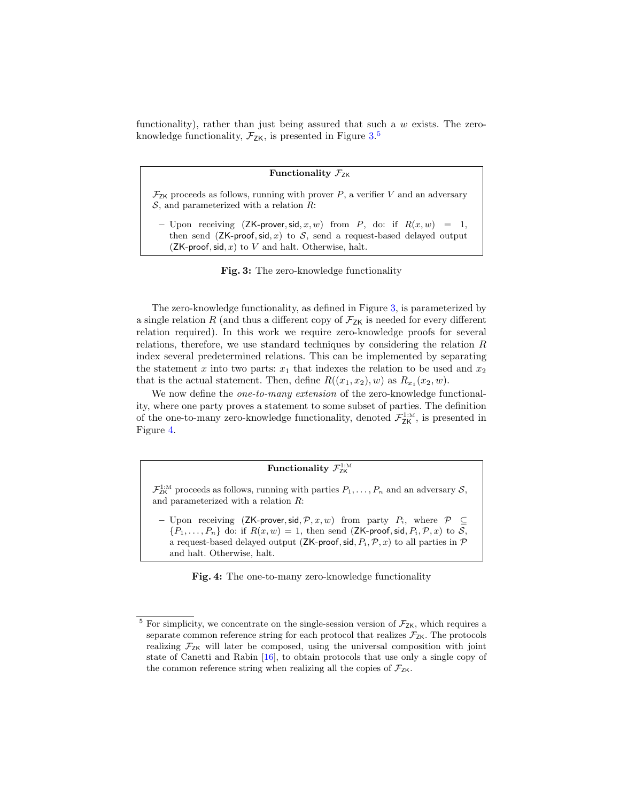functionality), rather than just being assured that such a  $w$  exists. The zeroknowledge functionality,  $\mathcal{F}_{\mathsf{ZK}}$ , is presented in Figure [3.](#page-11-0)<sup>[5](#page-11-1)</sup>

### Functionality  $\mathcal{F}_{ZK}$

<span id="page-11-0"></span> $\mathcal{F}_{\mathsf{ZK}}$  proceeds as follows, running with prover P, a verifier V and an adversary  $S$ , and parameterized with a relation  $R$ :

– Upon receiving  $(ZK-prover, sid, x, w)$  from P, do: if  $R(x, w) = 1$ , then send (ZK-proof, sid, x) to S, send a request-based delayed output  $(ZK-proof, sid, x)$  to  $V$  and halt. Otherwise, halt.

Fig. 3: The zero-knowledge functionality

The zero-knowledge functionality, as defined in Figure [3,](#page-11-0) is parameterized by a single relation R (and thus a different copy of  $\mathcal{F}_{ZK}$  is needed for every different relation required). In this work we require zero-knowledge proofs for several relations, therefore, we use standard techniques by considering the relation R index several predetermined relations. This can be implemented by separating the statement x into two parts:  $x_1$  that indexes the relation to be used and  $x_2$ that is the actual statement. Then, define  $R((x_1, x_2), w)$  as  $R_{x_1}(x_2, w)$ .

We now define the *one-to-many extension* of the zero-knowledge functionality, where one party proves a statement to some subset of parties. The definition of the one-to-many zero-knowledge functionality, denoted  $\mathcal{F}_{\mathsf{ZK}}^{1:M}$ , is presented in Figure [4.](#page-11-2)

### Functionality  $\mathcal{F}_{\mathsf{ZK}}^{1:\mathsf{M}}$

<span id="page-11-2"></span> $\mathcal{F}_{\mathsf{ZK}}^{1:M}$  proceeds as follows, running with parties  $P_1,\ldots,P_n$  and an adversary  $\mathcal{S},$ and parameterized with a relation R:

– Upon receiving (ZK-prover, sid, P, x, w) from party  $P_i$ , where P ⊆  $\{P_1,\ldots,P_n\}$  do: if  $R(x,w) = 1$ , then send (ZK-proof, sid,  $P_i, \mathcal{P}, x$ ) to S, a request-based delayed output (ZK-proof, sid,  $P_i$ ,  $\mathcal{P}, x$ ) to all parties in  $\mathcal P$ and halt. Otherwise, halt.

Fig. 4: The one-to-many zero-knowledge functionality

<span id="page-11-1"></span><sup>&</sup>lt;sup>5</sup> For simplicity, we concentrate on the single-session version of  $\mathcal{F}_{ZK}$ , which requires a separate common reference string for each protocol that realizes  $\mathcal{F}_{ZK}$ . The protocols realizing  $\mathcal{F}_{ZK}$  will later be composed, using the universal composition with joint state of Canetti and Rabin [\[16\]](#page-24-12), to obtain protocols that use only a single copy of the common reference string when realizing all the copies of  $\mathcal{F}_{ZK}$ .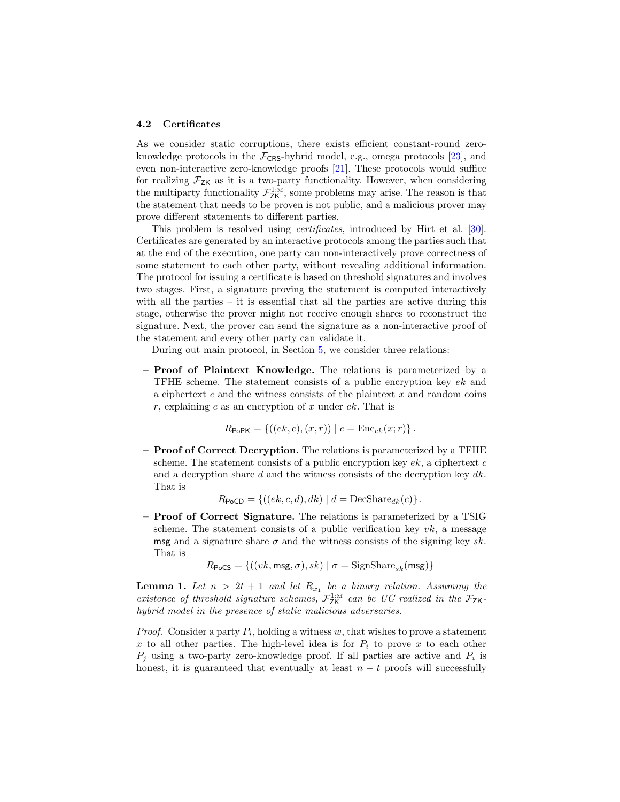#### <span id="page-12-0"></span>4.2 Certificates

As we consider static corruptions, there exists efficient constant-round zeroknowledge protocols in the  $\mathcal{F}_{CRS}$ -hybrid model, e.g., omega protocols [\[23\]](#page-24-13), and even non-interactive zero-knowledge proofs [\[21\]](#page-24-14). These protocols would suffice for realizing  $\mathcal{F}_{ZK}$  as it is a two-party functionality. However, when considering the multiparty functionality  $\mathcal{F}_{\text{ZK}}^{1:M}$ , some problems may arise. The reason is that the statement that needs to be proven is not public, and a malicious prover may prove different statements to different parties.

This problem is resolved using certificates, introduced by Hirt et al. [\[30\]](#page-25-4). Certificates are generated by an interactive protocols among the parties such that at the end of the execution, one party can non-interactively prove correctness of some statement to each other party, without revealing additional information. The protocol for issuing a certificate is based on threshold signatures and involves two stages. First, a signature proving the statement is computed interactively with all the parties – it is essential that all the parties are active during this stage, otherwise the prover might not receive enough shares to reconstruct the signature. Next, the prover can send the signature as a non-interactive proof of the statement and every other party can validate it.

During out main protocol, in Section [5,](#page-14-0) we consider three relations:

– Proof of Plaintext Knowledge. The relations is parameterized by a TFHE scheme. The statement consists of a public encryption key ek and a ciphertext  $c$  and the witness consists of the plaintext  $x$  and random coins r, explaining c as an encryption of x under  $ek$ . That is

$$
R_{\mathsf{PoPK}} = \{ ((ek, c), (x, r)) \mid c = \mathrm{Enc}_{ek}(x; r) \}.
$$

– Proof of Correct Decryption. The relations is parameterized by a TFHE scheme. The statement consists of a public encryption key  $ek$ , a ciphertext c and a decryption share d and the witness consists of the decryption key  $dk$ . That is

$$
R_{\text{PoCD}} = \{ ((ek, c, d), dk) | d = \text{DecShare}_{dk}(c) \}.
$$

– Proof of Correct Signature. The relations is parameterized by a TSIG scheme. The statement consists of a public verification key  $vk$ , a message msg and a signature share  $\sigma$  and the witness consists of the signing key sk. That is

 $R_{\text{PoCS}} = \{((vk, \text{msg}, \sigma), sk) | \sigma = \text{SignShare}_{sk}(\text{msg})\}$ 

<span id="page-12-1"></span>**Lemma 1.** Let  $n > 2t + 1$  and let  $R_{x_1}$  be a binary relation. Assuming the existence of threshold signature schemes,  $\mathcal{F}_{\mathsf{ZK}}^{1:M}$  can be UC realized in the  $\mathcal{F}_{\mathsf{ZK}}$ hybrid model in the presence of static malicious adversaries.

*Proof.* Consider a party  $P_i$ , holding a witness w, that wishes to prove a statement x to all other parties. The high-level idea is for  $P_i$  to prove x to each other  $P_j$  using a two-party zero-knowledge proof. If all parties are active and  $P_i$  is honest, it is guaranteed that eventually at least  $n - t$  proofs will successfully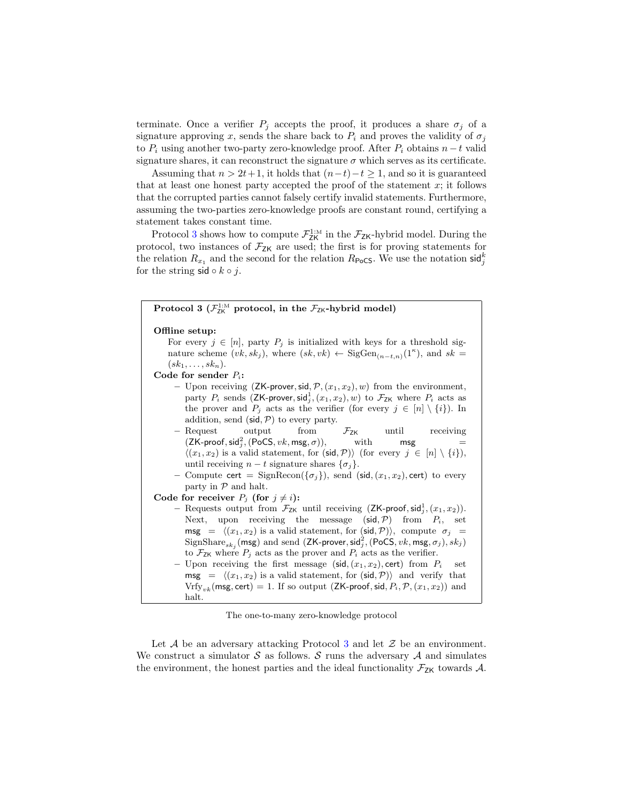terminate. Once a verifier  $P_j$  accepts the proof, it produces a share  $\sigma_j$  of a signature approving x, sends the share back to  $P_i$  and proves the validity of  $\sigma_j$ to  $P_i$  using another two-party zero-knowledge proof. After  $P_i$  obtains  $n-t$  valid signature shares, it can reconstruct the signature  $\sigma$  which serves as its certificate.

Assuming that  $n > 2t+1$ , it holds that  $(n-t)-t \geq 1$ , and so it is guaranteed that at least one honest party accepted the proof of the statement  $x$ ; it follows that the corrupted parties cannot falsely certify invalid statements. Furthermore, assuming the two-parties zero-knowledge proofs are constant round, certifying a statement takes constant time.

Protocol [3](#page-13-0) shows how to compute  $\mathcal{F}_{\mathsf{ZK}}^{1:M}$  in the  $\mathcal{F}_{\mathsf{ZK}}$ -hybrid model. During the protocol, two instances of  $\mathcal{F}_{ZK}$  are used; the first is for proving statements for the relation  $R_{x_1}$  and the second for the relation  $R_{\text{PoCS}}$ . We use the notation  $\mathsf{sid}^k_j$ for the string sid  $\circ k \circ j$ .

<span id="page-13-0"></span>

| Protocol 3 ( $\mathcal{F}_{\text{ZK}}^{1:M}$ protocol, in the $\mathcal{F}_{\text{ZK}}$ -hybrid model)                                   |  |  |  |  |  |
|------------------------------------------------------------------------------------------------------------------------------------------|--|--|--|--|--|
| Offline setup:                                                                                                                           |  |  |  |  |  |
| For every $j \in [n]$ , party $P_j$ is initialized with keys for a threshold sig-                                                        |  |  |  |  |  |
| nature scheme $(vk, sk_j)$ , where $(sk, vk) \leftarrow \text{SigGen}_{(n-t,n)}(1^{\kappa})$ , and $sk =$                                |  |  |  |  |  |
| $(sk_1,\ldots, sk_n).$                                                                                                                   |  |  |  |  |  |
| Code for sender $P_i$ :                                                                                                                  |  |  |  |  |  |
| - Upon receiving $(ZK\text{-prover}, \text{sid}, \mathcal{P}, (x_1, x_2), w)$ from the environment,                                      |  |  |  |  |  |
| party $P_i$ sends (ZK-prover, sid $_j^1$ , $(x_1, x_2)$ , w) to $\mathcal{F}_{ZK}$ where $P_i$ acts as                                   |  |  |  |  |  |
| the prover and $P_j$ acts as the verifier (for every $j \in [n] \setminus \{i\}$ ). In                                                   |  |  |  |  |  |
|                                                                                                                                          |  |  |  |  |  |
| addition, send $(\text{sid}, \mathcal{P})$ to every party.                                                                               |  |  |  |  |  |
| output from $\mathcal{F}_{ZK}$ until receiving<br>- Request                                                                              |  |  |  |  |  |
| $(ZK\text{-proof}, \text{sid}_j^2, (\text{PoCS}, vk, \text{msg}, \sigma)),$ with<br>msg                                                  |  |  |  |  |  |
| $\langle (x_1, x_2)$ is a valid statement, for $(\text{sid}, \mathcal{P})\rangle$ (for every $j \in [n] \setminus \{i\}$ ),              |  |  |  |  |  |
| until receiving $n-t$ signature shares $\{\sigma_j\}$ .                                                                                  |  |  |  |  |  |
| - Compute cert = SignRecon( $\{\sigma_j\}$ ), send (sid, $(x_1, x_2)$ , cert) to every                                                   |  |  |  |  |  |
| party in $P$ and halt.                                                                                                                   |  |  |  |  |  |
| Code for receiver $P_j$ (for $j \neq i$ ):                                                                                               |  |  |  |  |  |
| - Requests output from $\mathcal{F}_{ZK}$ until receiving $(ZK\text{-proof}, \text{sid}^1_{\tau}, (x_1, x_2)).$                          |  |  |  |  |  |
| Next, upon receiving the message $(\text{sid}, \mathcal{P})$ from $P_i$ , set                                                            |  |  |  |  |  |
| $\mathsf{msg} = \langle (x_1, x_2) \text{ is a valid statement, for } (\mathsf{sid}, \mathcal{P}) \rangle, \text{ compute } \sigma_j =$  |  |  |  |  |  |
| SignShare <sub>sk<sub>i</sub></sub> (msg) and send (ZK-prover, sid <sup>2</sup> <sub>j</sub> , (PoCS, $vk$ , msg, $\sigma_j$ ), $sk_j$ ) |  |  |  |  |  |
| to $\mathcal{F}_{ZK}$ where $P_j$ acts as the prover and $P_i$ acts as the verifier.                                                     |  |  |  |  |  |
| - Upon receiving the first message (sid, $(x_1, x_2)$ , cert) from $P_i$<br>set                                                          |  |  |  |  |  |
| $\mathsf{msg} = \langle (x_1, x_2) \text{ is a valid statement, for } (\mathsf{sid}, \mathcal{P}) \rangle \text{ and verify that }$      |  |  |  |  |  |
| $Vrfy_{nk}(msg, cert) = 1$ . If so output (ZK-proof, sid, $P_i, P, (x_1, x_2)$ ) and                                                     |  |  |  |  |  |
| halt.                                                                                                                                    |  |  |  |  |  |

The one-to-many zero-knowledge protocol

Let  $\mathcal A$  be an adversary attacking Protocol [3](#page-13-0) and let  $\mathcal Z$  be an environment. We construct a simulator  $S$  as follows.  $S$  runs the adversary  $A$  and simulates the environment, the honest parties and the ideal functionality  $\mathcal{F}_{\mathsf{ZK}}$  towards  $\mathcal{A}$ .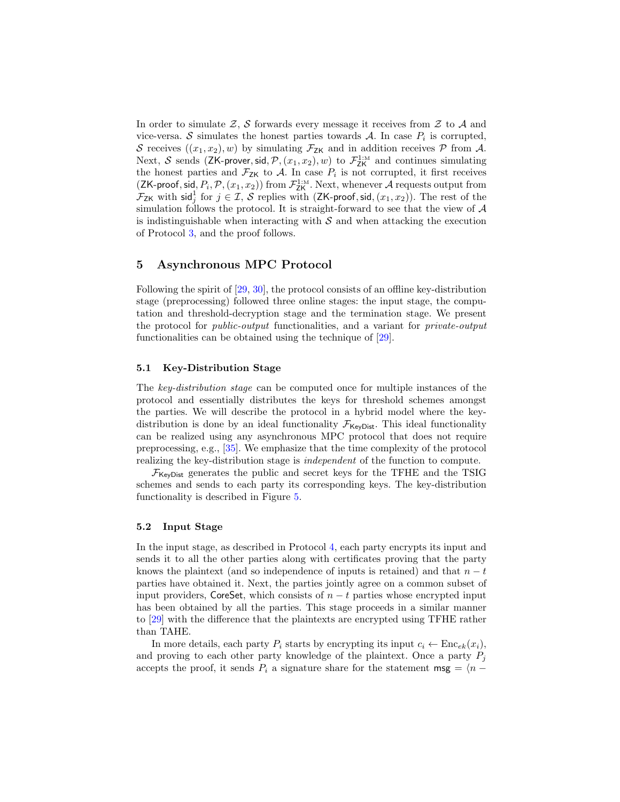In order to simulate  $\mathcal{Z}, \mathcal{S}$  forwards every message it receives from  $\mathcal{Z}$  to  $\mathcal{A}$  and vice-versa. S simulates the honest parties towards  $A$ . In case  $P_i$  is corrupted, S receives  $((x_1, x_2), w)$  by simulating  $\mathcal{F}_{\mathsf{ZK}}$  and in addition receives  $\mathcal{P}$  from  $\mathcal{A}$ . Next, S sends (ZK-prover, sid,  $P$ ,  $(x_1, x_2)$ , w) to  $\mathcal{F}_{\mathsf{ZK}}^{1:M}$  and continues simulating the honest parties and  $\mathcal{F}_{ZK}$  to  $\mathcal{A}$ . In case  $P_i$  is not corrupted, it first receives (ZK-proof, sid,  $P_i$ ,  $\mathcal{P}$ ,  $(x_1, x_2)$ ) from  $\mathcal{F}_{\mathsf{ZK}}^{1:M}$ . Next, whenever  $\mathcal A$  requests output from  $\mathcal{F}_{\mathsf{ZK}}$  with sid<sup>1</sup> for  $j \in \mathcal{I}, \mathcal{S}$  replies with  $(\mathsf{ZK\text{-}proof}, \mathsf{sid}, (x_1, x_2))$ . The rest of the simulation follows the protocol. It is straight-forward to see that the view of  $\mathcal A$ is indistinguishable when interacting with  $S$  and when attacking the execution of Protocol [3,](#page-13-0) and the proof follows.

### <span id="page-14-0"></span>5 Asynchronous MPC Protocol

Following the spirit of [\[29,](#page-25-0) [30\]](#page-25-4), the protocol consists of an offline key-distribution stage (preprocessing) followed three online stages: the input stage, the computation and threshold-decryption stage and the termination stage. We present the protocol for public-output functionalities, and a variant for private-output functionalities can be obtained using the technique of [\[29\]](#page-25-0).

#### 5.1 Key-Distribution Stage

The key-distribution stage can be computed once for multiple instances of the protocol and essentially distributes the keys for threshold schemes amongst the parties. We will describe the protocol in a hybrid model where the keydistribution is done by an ideal functionality  $\mathcal{F}_{\text{KeyDist}}$ . This ideal functionality can be realized using any asynchronous MPC protocol that does not require preprocessing, e.g., [\[35\]](#page-25-8). We emphasize that the time complexity of the protocol realizing the key-distribution stage is independent of the function to compute.

 $\mathcal{F}_{\text{KeyDist}}$  generates the public and secret keys for the TFHE and the TSIG schemes and sends to each party its corresponding keys. The key-distribution functionality is described in Figure [5.](#page-15-0)

#### 5.2 Input Stage

In the input stage, as described in Protocol [4,](#page-16-0) each party encrypts its input and sends it to all the other parties along with certificates proving that the party knows the plaintext (and so independence of inputs is retained) and that  $n - t$ parties have obtained it. Next, the parties jointly agree on a common subset of input providers, CoreSet, which consists of  $n - t$  parties whose encrypted input has been obtained by all the parties. This stage proceeds in a similar manner to [\[29\]](#page-25-0) with the difference that the plaintexts are encrypted using TFHE rather than TAHE.

In more details, each party  $P_i$  starts by encrypting its input  $c_i \leftarrow \text{Enc}_{ek}(x_i)$ , and proving to each other party knowledge of the plaintext. Once a party  $P_j$ accepts the proof, it sends  $P_i$  a signature share for the statement msg =  $\langle n - \rangle$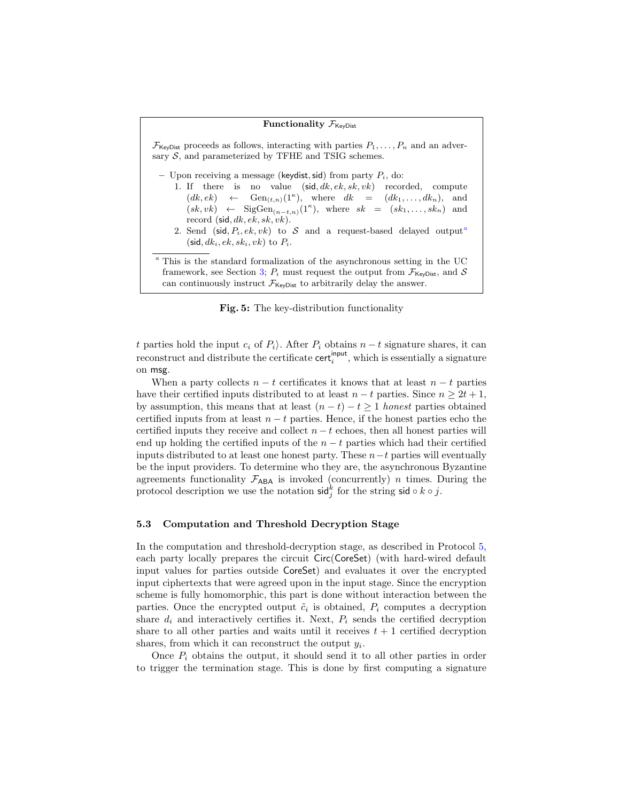### Functionality  $\mathcal{F}_{\text{KeyDist}}$

<span id="page-15-0"></span> $\mathcal{F}_{\text{KeyDist}}$  proceeds as follows, interacting with parties  $P_1, \ldots, P_n$  and an adversary  $S$ , and parameterized by TFHE and TSIG schemes.

- Upon receiving a message (keydist, sid) from party  $P_i$ , do:
	- 1. If there is no value  $(\text{sid}, dk, ek, sk, vk)$  recorded, compute  $(dk, ek) \leftarrow$  $Gen_{(t,n)}(1^{\kappa}), \text{ where } dk = (dk_1, \ldots, dk_n), \text{ and }$  $(sk, vk) \leftarrow \text{SigGen}_{(n-t,n)}(1^{\kappa}), \text{ where } sk = (sk_1, \ldots, sk_n) \text{ and }$ record (sid,  $dk, ek, sk, vk$ ).
	- 2. Send (sid,  $P_i$ ,  $ek$ ,  $vk$ ) to S [a](#page-15-1)nd a request-based delayed output<sup>a</sup>  $(\textsf{sid}, dk_i, ek, sk_i, vk)$  to  $P_i$ .
- <span id="page-15-1"></span> $\mathrm{^a}$  This is the standard formalization of the asynchronous setting in the UC framework, see Section [3;](#page-6-0)  $P_i$  must request the output from  $\mathcal{F}_{\text{KevDist}}$ , and S can continuously instruct  $\mathcal{F}_{\text{KeyDist}}$  to arbitrarily delay the answer.

Fig. 5: The key-distribution functionality

t parties hold the input  $c_i$  of  $P_i$ ). After  $P_i$  obtains  $n-t$  signature shares, it can reconstruct and distribute the certificate  $\text{cert}_i^{\text{input}}$ , which is essentially a signature on msg.

When a party collects  $n - t$  certificates it knows that at least  $n - t$  parties have their certified inputs distributed to at least  $n - t$  parties. Since  $n \geq 2t + 1$ , by assumption, this means that at least  $(n - t) - t \geq 1$  honest parties obtained certified inputs from at least  $n - t$  parties. Hence, if the honest parties echo the certified inputs they receive and collect  $n - t$  echoes, then all honest parties will end up holding the certified inputs of the  $n - t$  parties which had their certified inputs distributed to at least one honest party. These  $n-t$  parties will eventually be the input providers. To determine who they are, the asynchronous Byzantine agreements functionality  $\mathcal{F}_{ABA}$  is invoked (concurrently) *n* times. During the protocol description we use the notation  $\mathsf{sid}^k_j$  for the string  $\mathsf{sid} \circ k \circ j$ .

#### 5.3 Computation and Threshold Decryption Stage

In the computation and threshold-decryption stage, as described in Protocol [5,](#page-17-0) each party locally prepares the circuit Circ(CoreSet) (with hard-wired default input values for parties outside CoreSet) and evaluates it over the encrypted input ciphertexts that were agreed upon in the input stage. Since the encryption scheme is fully homomorphic, this part is done without interaction between the parties. Once the encrypted output  $\tilde{c}_i$  is obtained,  $P_i$  computes a decryption share  $d_i$  and interactively certifies it. Next,  $P_i$  sends the certified decryption share to all other parties and waits until it receives  $t + 1$  certified decryption shares, from which it can reconstruct the output  $y_i$ .

Once  $P_i$  obtains the output, it should send it to all other parties in order to trigger the termination stage. This is done by first computing a signature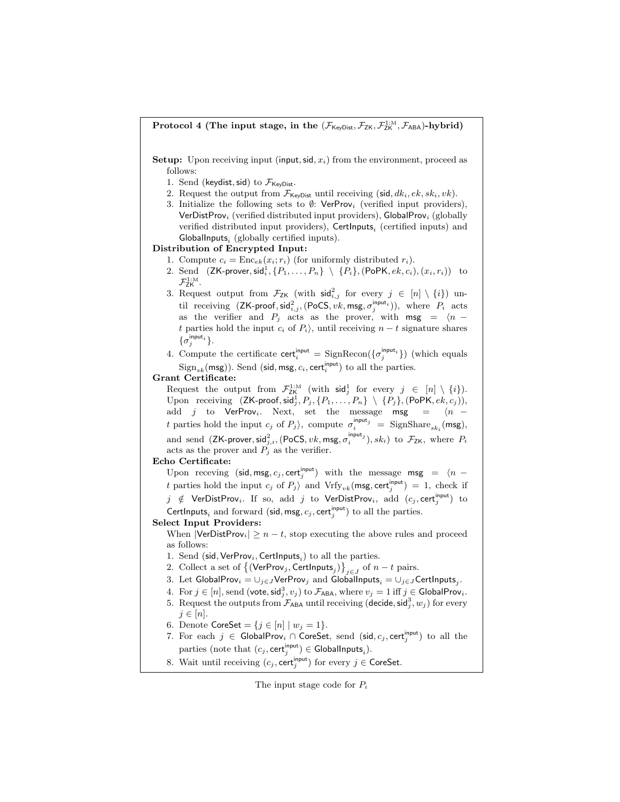<span id="page-16-0"></span>Protocol 4 (The input stage, in the  $(\mathcal{F}_{\mathsf{KeyDist}}, \mathcal{F}_{\mathsf{ZK}}, \mathcal{F}_{\mathsf{ZK}}^{1:M}, \mathcal{F}_{\mathsf{ABA}})$ -hybrid)

- **Setup:** Upon receiving input (input,  $\text{sid}, x_i$ ) from the environment, proceed as follows:
	- 1. Send (keydist, sid) to  $\mathcal{F}_{\text{KeyDist}}$ .
	- 2. Request the output from  $\mathcal{F}_{\text{KeyDist}}$  until receiving (sid,  $dk_i, ek, sk_i, vk$ ).
	- 3. Initialize the following sets to  $\emptyset$ : VerProv<sub>i</sub> (verified input providers), VerDistProv<sub>i</sub> (verified distributed input providers), GlobalProv<sub>i</sub> (globally verified distributed input providers),  $\mathsf{CertInputs}_i$  (certified inputs) and  $G$ loballnputs<sub>i</sub> (globally certified inputs).

### Distribution of Encrypted Input:

- 1. Compute  $c_i = \text{Enc}_{ek}(x_i; r_i)$  (for uniformly distributed  $r_i$ ).
- 2. Send  $(\mathsf{ZK}\text{-}\mathsf{prover}, \mathsf{sid}_i^1, \{P_1, \ldots, P_n\} \, \setminus \, \{P_i\}, (\mathsf{PoPK}, ek, c_i), (x_i, r_i))$  to  $\mathcal{F}_{\mathsf{ZK}}^{1:\mathrm{M}}$  .
- 3. Request output from  $\mathcal{F}_{\mathsf{ZK}}$  (with  $\mathsf{sid}^2_{i,j}$  for every  $j \in [n] \setminus \{i\}$ ) until receiving  $(ZK\text{-proof}, \text{sid}^2_{i,j}, (\text{PoCS}, vk, \text{msg}, \sigma_j^{\text{input}_i})),$  where  $P_i$  acts as the verifier and  $P_j$  acts as the prover, with msg =  $\langle n$ t parties hold the input  $c_i$  of  $P_i$ , until receiving  $n - t$  signature shares  $\{\sigma_j^{\mathsf{input}_i}\}.$
- 4. Compute the certificate cert<sup>input</sup> = SignRecon( $\{\sigma_j^{\text{input}_i}\}\$ ) (which equals  $\text{Sign}_{sk}(\textsf{msg})$ ). Send (sid, msg,  $c_i$ , cert $_i^{\textsf{input}}$ ) to all the parties.

Grant Certificate:

Request the output from  $\mathcal{F}_{\mathsf{ZK}}^{1:M}$  (with  $\mathsf{sid}_j^1$  for every  $j \in [n] \setminus \{i\}$ ). Upon receiving  $(ZK\text{-proof}, \mathsf{sid}^1_j, P_j, \{P_1, \ldots, P_n\} \setminus \{P_j\}, (\mathsf{PoPK}, ek, c_j)),$ add j to VerProv<sub>i</sub>. Next, set the message msg =  $\langle n$ t parties hold the input  $c_j$  of  $P_j$ ), compute  $\sigma_i^{\text{input}_j} = \text{SignShare}_{sk_i}(\text{msg})$ , and send (ZK-prover,  $\mathsf{sid}^2_{j,i},(\mathsf{PoCS},vk,\mathsf{msg},\sigma_i^\mathsf{input_j}), sk_i)$  to  $\mathcal{F}_\mathsf{ZK},$  where  $P_i$ acts as the prover and  $P_j$  as the verifier.

#### Echo Certificate:

Upon receving (sid, msg,  $c_j$ , cert $_j^{\text{input}}$ ) with the message msg =  $\langle n$ t parties hold the input  $c_j$  of  $P_j$  and  $Vrf_{y,k}(\text{msg, cert}_j^{\text{input}}) = 1$ , check if  $j \notin \mathsf{VerDistProv}_i$ . If so, add  $j$  to  $\mathsf{VerDistProv}_i,$  add  $(c_j, \mathsf{cert}_j^\mathsf{input})$  to

CertInputs<sub>i</sub> and forward (sid, msg,  $c_j$ , cert<sup>input</sup>) to all the parties.

#### Select Input Providers:

- When  $|\text{VerDistProv}_i| \geq n t$ , stop executing the above rules and proceed as follows:
- 1. Send (sid,  $VerProv_i$ , CertInputs<sub>i</sub>) to all the parties.
- 2. Collect a set of  $\big\{(\mathsf{VerProv}_j, \mathsf{CertInputs}_j)\big\}_{j \in J}$  of  $n-t$  pairs.
- 3. Let GlobalProv $_i = \cup_{j \in J}$ VerProv $_j$  and GlobalInputs $_i = \cup_{j \in J}$ CertInputs $_j$ .
- 4. For  $j \in [n]$ , send (vote,  $\mathsf{sid}^3_j, v_j)$  to  $\mathcal{F}_{\mathsf{ABA}}$ , where  $v_j = 1$  iff  $j \in \mathsf{GlobalProv}_i$ .
- 5. Request the outputs from  $\mathcal{F}_{ABA}$  until receiving (decide, sid<sub>3</sub>,  $w_j$ ) for every  $j \in [n]$ .
- 6. Denote CoreSet =  $\{j \in [n] \mid w_j = 1\}$ .
- 7. For each  $j \in \mathsf{GlobalProv}_i \cap \mathsf{CoreSet}, \text{ send } (\mathsf{sid}, c_j, \mathsf{cert}_j^{\mathsf{input}})$  to all the parties (note that  $(c_j, \text{cert}_j^{\text{input}}) \in \textsf{GlobalInputs}_i$ ).
- 8. Wait until receiving  $(c_j, \text{cert}_j^{\text{input}})$  for every  $j \in \text{CoreSet}$ .

The input stage code for  $P_i$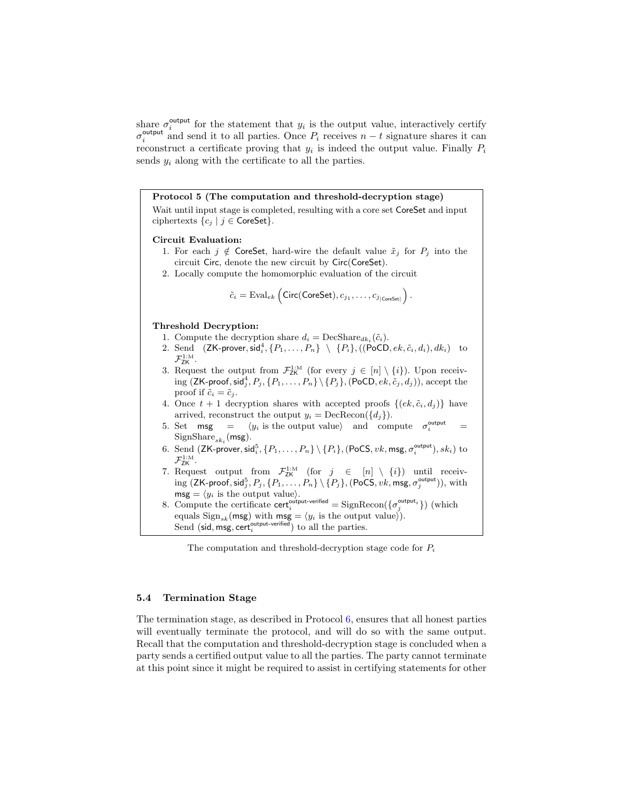share  $\sigma_i^{\text{output}}$  for the statement that  $y_i$  is the output value, interactively certify  $\sigma_i^{\text{output}}$  and send it to all parties. Once  $P_i$  receives  $n-t$  signature shares it can reconstruct a certificate proving that  $y_i$  is indeed the output value. Finally  $P_i$ sends  $y_i$  along with the certificate to all the parties.

<span id="page-17-0"></span>Protocol 5 (The computation and threshold-decryption stage) Wait until input stage is completed, resulting with a core set CoreSet and input ciphertexts  $\{c_j \mid j \in \textsf{CoreSet}\}.$ Circuit Evaluation: 1. For each  $j \notin \mathsf{CoreSet}$ , hard-wire the default value  $\tilde{x}_j$  for  $P_j$  into the circuit Circ, denote the new circuit by Circ(CoreSet). 2. Locally compute the homomorphic evaluation of the circuit  $\tilde{c}_i = \mathrm{Eval}_{ek}\left(\mathsf{Circ}(\mathsf{CoreSet}), c_{j_1}, \ldots, c_{j_{|\mathsf{CoreSet}|}}\right).$ Threshold Decryption: 1. Compute the decryption share  $d_i = \text{DecShare}_{dk_i}(\tilde{c}_i)$ . 2. Send  $(ZK\text{-prover}, \mathsf{sid}_i^4, \{P_1, \ldots, P_n\} \setminus \{P_i\}, ((\text{PoCD}, ek, \tilde{c}_i, d_i), dk_i)$  to  $\mathcal{F}_{\mathsf{ZK}}^{1:\mathrm{M}}$  . 3. Request the output from  $\mathcal{F}_{\mathsf{ZK}}^{1:M}$  (for every  $j \in [n] \setminus \{i\}$ ). Upon receiving  $({\sf ZK}\text{-proof}, \mathsf{sid}_j^4, P_j, \{P_1, \ldots, P_n\} \setminus \{P_j\}, ({\sf PoCD}, {ek}, \tilde{c}_j, d_j)), \text{accept the}$ proof if  $\tilde{c}_i = \tilde{c}_i$ . 4. Once  $t + 1$  decryption shares with accepted proofs  $\{(ek, \tilde{c}_i, d_i)\}\$  have arrived, reconstruct the output  $y_i = \text{DecRecon}(\{d_i\})$ . 5. Set msg =  $\langle y_i \rangle$  is the output value and compute  $\sigma_i^{\text{output}}$  =  $\text{SignShare}_{sk_i}(\textsf{msg}).$ 6. Send  $(\mathsf{ZK}\text{-}\mathsf{prover}, \mathsf{sid}_i^5, \{P_1, \ldots, P_n\} \setminus \{P_i\}, (\mathsf{PoCS}, vk, \mathsf{msg}, \sigma_i^{\mathsf{output}}), sk_i)$  to  $\mathcal{F}_{\mathsf{ZK}}^{1:\mathrm{M}}$  . 7. Request output from  $\mathcal{F}_{\text{ZK}}^{1:M}$  (for  $j \in [n] \setminus \{i\}$ ) until receiv- $\text{ing }(\textsf{ZK-proof}, \textsf{sid}_j^5, P_j, \{P_1, \ldots, P_n\} \setminus \{P_j\}, (\textsf{PoCS}, vk, \textsf{msg}, \sigma_j^{\textsf{output}})), \text{with}$  $\mathsf{msg} = \langle y_i \rangle$  is the output value). 8. Compute the certificate cert<sub>i</sub>  $\text{ceil}^{\text{output-verified}} = \text{SignRecon}(\{\sigma_j^{\text{output}_i}\})$  (which equals Sign<sub>sk</sub>(msg) with msg =  $\langle y_i \rangle$  is the output value). Send (sid,  $\overline{\text{msg}}$ , cert $_i^{\text{output-verified}}$ ) to all the parties.

The computation and threshold-decryption stage code for  $P_i$ 

#### 5.4 Termination Stage

The termination stage, as described in Protocol [6,](#page-18-1) ensures that all honest parties will eventually terminate the protocol, and will do so with the same output. Recall that the computation and threshold-decryption stage is concluded when a party sends a certified output value to all the parties. The party cannot terminate at this point since it might be required to assist in certifying statements for other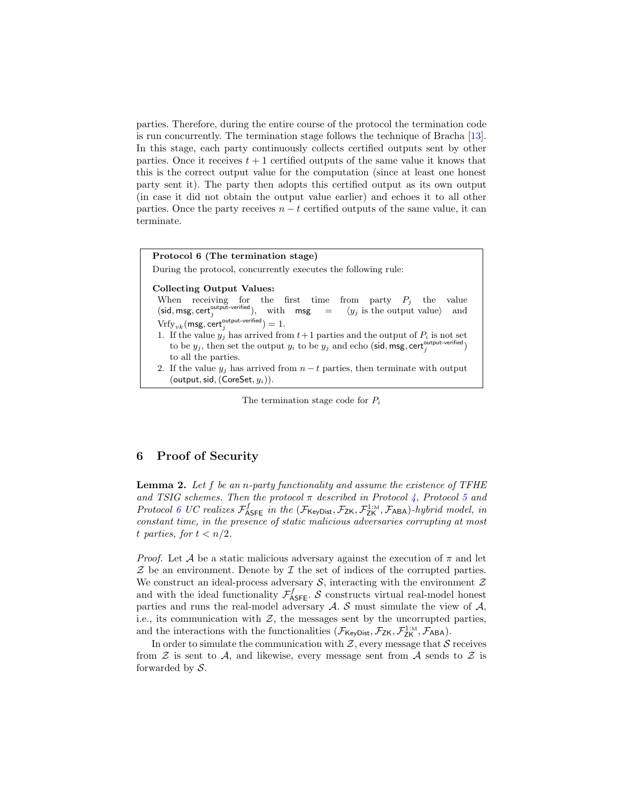parties. Therefore, during the entire course of the protocol the termination code is run concurrently. The termination stage follows the technique of Bracha [\[13\]](#page-24-8). In this stage, each party continuously collects certified outputs sent by other parties. Once it receives  $t + 1$  certified outputs of the same value it knows that this is the correct output value for the computation (since at least one honest party sent it). The party then adopts this certified output as its own output (in case it did not obtain the output value earlier) and echoes it to all other parties. Once the party receives  $n - t$  certified outputs of the same value, it can terminate.

#### <span id="page-18-1"></span>Protocol 6 (The termination stage)

During the protocol, concurrently executes the following rule:

#### Collecting Output Values:

When receiving for the first time from party  $P_j$  the value (sid, msg, cert<sub>j</sub><sup>output-verified</sup>), with msg =  $\langle y_j \rangle$  is the output value) and  $\mathrm{Vrfy}_{vk}(\mathsf{msg},\mathsf{cert}_j^{\mathsf{output-verified}}) = 1.$ 

- 1. If the value  $y_j$  has arrived from  $t+1$  parties and the output of  $P_i$  is not set to be  $y_j,$  then set the output  $y_i$  to be  $y_j$  and echo (sid, msg, cert $_j^{\text{output-verified}})$ to all the parties.
- 2. If the value  $y_i$  has arrived from  $n t$  parties, then terminate with output (output, sid,  $(CoreSet, y_i)$ ).

The termination stage code for  $P_i$ 

### <span id="page-18-0"></span>6 Proof of Security

<span id="page-18-2"></span>**Lemma 2.** Let  $f$  be an n-party functionality and assume the existence of TFHE and TSIG schemes. Then the protocol  $\pi$  described in Protocol [4,](#page-16-0) Protocol [5](#page-17-0) and Protocol [6](#page-18-1) UC realizes  $\mathcal{F}^f_{\textsf{ASEE}}$  in the  $(\mathcal{F}_{\textsf{KeyDist}}, \mathcal{F}_{\textsf{ZK}}, \mathcal{F}^{1:M}_{\textsf{ZK}}, \mathcal{F}_{\textsf{ABA}})$ -hybrid model, in constant time, in the presence of static malicious adversaries corrupting at most t parties, for  $t < n/2$ .

*Proof.* Let A be a static malicious adversary against the execution of  $\pi$  and let  $Z$  be an environment. Denote by  $\mathcal I$  the set of indices of the corrupted parties. We construct an ideal-process adversary  $S$ , interacting with the environment  $\mathcal Z$ and with the ideal functionality  $\mathcal{F}_{\mathsf{ASFE}}^f$ . S constructs virtual real-model honest parties and runs the real-model adversary  $A$ . S must simulate the view of  $A$ , i.e., its communication with  $\mathcal{Z}$ , the messages sent by the uncorrupted parties, and the interactions with the functionalities  $(\mathcal{F}_{\mathsf{KeyDist}}, \mathcal{F}_{\mathsf{ZK}}, \mathcal{F}_{\mathsf{ZK}}^{1:M}, \mathcal{F}_{\mathsf{ABA}})$ .

In order to simulate the communication with  $\mathcal{Z}$ , every message that  $\mathcal{S}$  receives from  $Z$  is sent to  $A$ , and likewise, every message sent from  $A$  sends to  $Z$  is forwarded by  $S$ .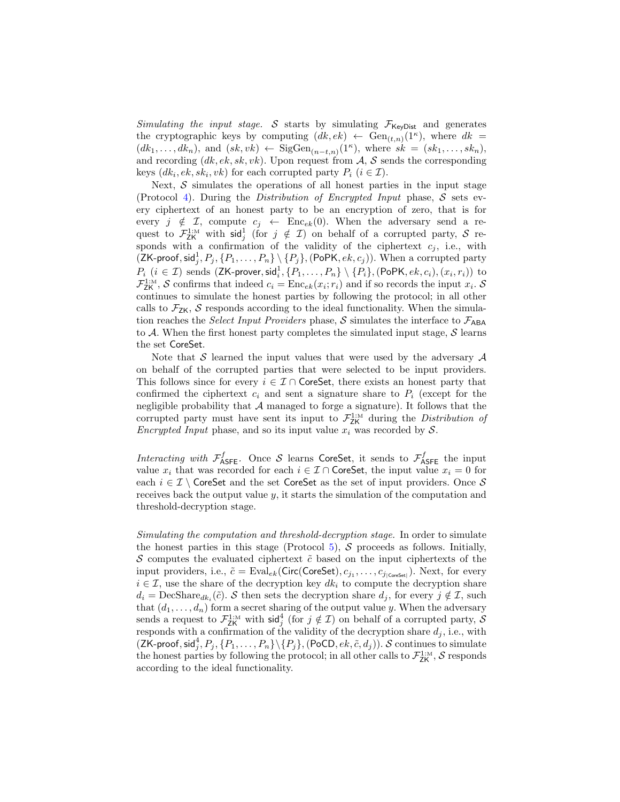Simulating the input stage. S starts by simulating  $\mathcal{F}_{\text{KeyDist}}$  and generates the cryptographic keys by computing  $(dk, ek) \leftarrow \text{Gen}_{(t,n)}(1^{\kappa})$ , where  $dk =$  $(dk_1, \ldots, dk_n)$ , and  $(sk, vk) \leftarrow \text{SigGen}_{(n-t,n)}(1^{\kappa})$ , where  $sk = (sk_1, \ldots, sk_n)$ , and recording  $(dk, ek, sk, vk)$ . Upon request from A, S sends the corresponding keys  $(dk_i, ek, sk_i, vk)$  for each corrupted party  $P_i$   $(i \in \mathcal{I})$ .

Next,  $S$  simulates the operations of all honest parties in the input stage (Protocol [4\)](#page-16-0). During the *Distribution of Encrypted Input* phase,  $S$  sets every ciphertext of an honest party to be an encryption of zero, that is for every  $j \notin \mathcal{I}$ , compute  $c_j \leftarrow \text{Enc}_{ek}(0)$ . When the adversary send a request to  $\mathcal{F}_{\mathsf{ZK}}^{1:M}$  with sid<sup>1</sup> (for  $j \notin \mathcal{I}$ ) on behalf of a corrupted party, S responds with a confirmation of the validity of the ciphertext  $c_j$ , i.e., with  $(ZK\text{-proof}, \text{sid}_j^1, P_j, \{P_1, \ldots, P_n\} \setminus \{P_j\}, (\text{PoPK}, ek, c_j)).$  When a corrupted party  $P_i$   $(i \in \mathcal{I})$  sends  $(\textsf{ZK-prover}, \textsf{sid}_i^1, \{P_1, \ldots, P_n\} \setminus \{P_i\}, (\textsf{PoPK}, ek, c_i), (x_i, r_i))$  to  $\mathcal{F}_{\mathsf{ZK}}^{1:\mathsf{M}},\mathcal{S}$  confirms that indeed  $c_i = \mathrm{Enc}_{ek}(x_i;r_i)$  and if so records the input  $x_i$ .  $\mathcal{S}$ continues to simulate the honest parties by following the protocol; in all other calls to  $\mathcal{F}_{ZK}$ , S responds according to the ideal functionality. When the simulation reaches the Select Input Providers phase,  $S$  simulates the interface to  $\mathcal{F}_{\sf ABA}$ to A. When the first honest party completes the simulated input stage,  $S$  learns the set CoreSet.

Note that  $S$  learned the input values that were used by the adversary  $A$ on behalf of the corrupted parties that were selected to be input providers. This follows since for every  $i \in \mathcal{I} \cap \text{CoreSet}$ , there exists an honest party that confirmed the ciphertext  $c_i$  and sent a signature share to  $P_i$  (except for the negligible probability that  $A$  managed to forge a signature). It follows that the corrupted party must have sent its input to  $\mathcal{F}_{\mathsf{ZK}}^{1:M}$  during the *Distribution of* Encrypted Input phase, and so its input value  $x_i$  was recorded by  $S$ .

Interacting with  $\mathcal{F}^f_{\text{ASEE}}$ . Once S learns CoreSet, it sends to  $\mathcal{F}^f_{\text{ASEE}}$  the input value  $x_i$  that was recorded for each  $i \in \mathcal{I} \cap \text{CoreSet}$ , the input value  $x_i = 0$  for each  $i \in \mathcal{I} \setminus \mathsf{CoreSet}$  and the set CoreSet as the set of input providers. Once S receives back the output value y, it starts the simulation of the computation and threshold-decryption stage.

Simulating the computation and threshold-decryption stage. In order to simulate the honest parties in this stage (Protocol [5\)](#page-17-0),  $S$  proceeds as follows. Initially, S computes the evaluated ciphertext  $\tilde{c}$  based on the input ciphertexts of the input providers, i.e.,  $\tilde{c} = \text{Eval}_{ek}(\text{Circ}(\text{CoreSet}), c_{j_1}, \dots, c_{j_{|\text{CoreSet}|}})$ . Next, for every  $i \in \mathcal{I}$ , use the share of the decryption key  $dk_i$  to compute the decryption share  $d_i = \text{DecShare}_{dk_i}(\tilde{c})$ . S then sets the decryption share  $d_j$ , for every  $j \notin \mathcal{I}$ , such that  $(d_1, \ldots, d_n)$  form a secret sharing of the output value y. When the adversary sends a request to  $\mathcal{F}_{\mathsf{ZK}}^{1:M}$  with  $\mathsf{sid}_j^4$  (for  $j \notin \mathcal{I}$ ) on behalf of a corrupted party,  $\mathcal S$ responds with a confirmation of the validity of the decryption share  $d_j$ , i.e., with (ZK-proof,  $\mathsf{sid}_j^4, P_j, \{P_1, \ldots, P_n\} \setminus \{P_j\}$ , (PoCD,  $ek, \tilde{c}, d_j$ )). S continues to simulate the honest parties by following the protocol; in all other calls to  $\mathcal{F}_{\mathsf{ZK}}^{1:M}$ ,  $\mathcal S$  responds according to the ideal functionality.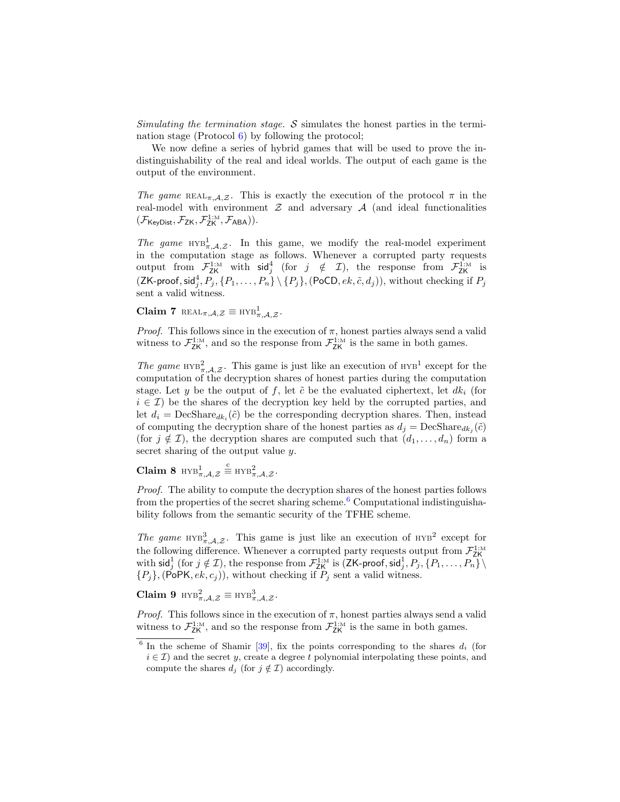Simulating the termination stage.  $S$  simulates the honest parties in the termination stage (Protocol  $6$ ) by following the protocol;

We now define a series of hybrid games that will be used to prove the indistinguishability of the real and ideal worlds. The output of each game is the output of the environment.

The game REAL<sub>π,A,Z</sub>. This is exactly the execution of the protocol  $\pi$  in the real-model with environment  $Z$  and adversary  $A$  (and ideal functionalities  $(\mathcal{F}_{\sf KeyDist}, \mathcal{F}_{\sf ZK}, \mathcal{F}_{\sf ZK}^{1:\text{\tiny{M}}}, \mathcal{F}_{\sf ABA})).$ 

The game  $HYB_{\pi,\mathcal{A},\mathcal{Z}}^{\dagger}$ . In this game, we modify the real-model experiment in the computation stage as follows. Whenever a corrupted party requests output from  $\mathcal{F}_{\mathsf{ZK}}^{1:M}$  with  $\mathsf{sid}_j^4$  (for  $j \notin \mathcal{I}$ ), the response from  $\mathcal{F}_{\mathsf{ZK}}^{1:M}$  is (ZK-proof,  $\mathsf{sid}_j^4, P_j, \{P_1, \ldots, P_n\} \setminus \{P_j\}$ , (PoCD,  $ek, \tilde{c}, d_j$ )), without checking if  $P_j$ sent a valid witness.

Claim 7 REAL<sub> $\pi, A, \mathcal{Z} \equiv \text{HYB}_{\pi, A, \mathcal{Z}}^1$ .</sub>

*Proof.* This follows since in the execution of  $\pi$ , honest parties always send a valid witness to  $\mathcal{F}_{\mathsf{ZK}}^{1:M}$ , and so the response from  $\mathcal{F}_{\mathsf{ZK}}^{1:M}$  is the same in both games.

The game  $HYB_{\pi,\mathcal{A},\mathcal{Z}}^2$ . This game is just like an execution of  $HYB^1$  except for the computation of the decryption shares of honest parties during the computation stage. Let y be the output of f, let  $\tilde{c}$  be the evaluated ciphertext, let  $dk_i$  (for  $i \in \mathcal{I}$ ) be the shares of the decryption key held by the corrupted parties, and let  $d_i = \text{DecShare}_{dk_i}(\tilde{c})$  be the corresponding decryption shares. Then, instead of computing the decryption share of the honest parties as  $d_j = \text{DecShare}_{dk_j}(\tilde{c})$ (for  $j \notin \mathcal{I}$ ), the decryption shares are computed such that  $(d_1, \ldots, d_n)$  form a secret sharing of the output value  $y$ .

Claim 8  $HYB_{\pi,\mathcal{A},\mathcal{Z}}^1$  $\stackrel{\rm c}{\equiv}$  HYB<sup>2</sup> $_{\pi,\mathcal{A},\mathcal{Z}}$ .

Proof. The ability to compute the decryption shares of the honest parties follows from the properties of the secret sharing scheme.<sup>[6](#page-20-0)</sup> Computational indistinguishability follows from the semantic security of the TFHE scheme.

The game HYB<sup>3</sup><sub> $\pi$ ,A,Z</sub>. This game is just like an execution of HYB<sup>2</sup> except for the following difference. Whenever a corrupted party requests output from  $\mathcal{F}_{\mathsf{ZK}}^{1:M}$ with  $\mathsf{sid}^1_j$  (for  $j \notin \mathcal{I}$ ), the response from  $\mathcal{F}_{\mathsf{ZK}}^{1:M}$  is (ZK-proof,  $\mathsf{sid}^1_j, P_j, \{P_1, \ldots, P_n\} \setminus$  $\{P_j\}$ , (PoPK,  $ek, c_j$ )), without checking if  $P_j$  sent a valid witness.

Claim 9  $HVB^2_{\pi,\mathcal{A},\mathcal{Z}} \equiv HYB^3_{\pi,\mathcal{A},\mathcal{Z}}$ .

*Proof.* This follows since in the execution of  $\pi$ , honest parties always send a valid witness to  $\mathcal{F}_{\mathsf{ZK}}^{1:M}$ , and so the response from  $\mathcal{F}_{\mathsf{ZK}}^{1:M}$  is the same in both games.

<span id="page-20-0"></span> $6$  In the scheme of Shamir [\[39\]](#page-25-12), fix the points corresponding to the shares  $d_i$  (for  $i \in \mathcal{I}$  and the secret y, create a degree t polynomial interpolating these points, and compute the shares  $d_j$  (for  $j \notin \mathcal{I}$ ) accordingly.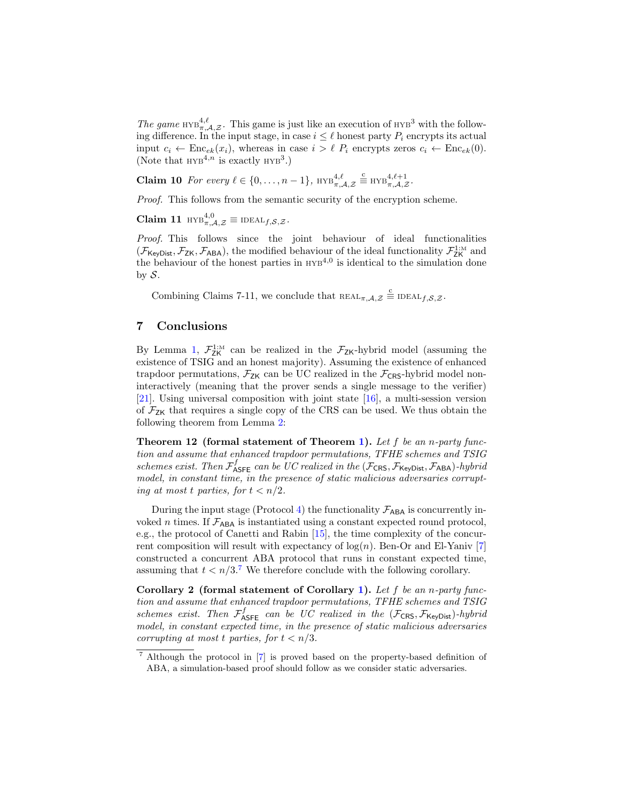The game  $HVB^{4,\ell}_{\pi,\mathcal{A},\mathcal{Z}}$ . This game is just like an execution of HYB<sup>3</sup> with the following difference. In the input stage, in case  $i \leq \ell$  honest party  $P_i$  encrypts its actual input  $c_i \leftarrow \text{Enc}_{ek}(x_i)$ , whereas in case  $i > \ell$   $P_i$  encrypts zeros  $c_i \leftarrow \text{Enc}_{ek}(0)$ . (Note that  $HYB^{4,n}$  is exactly  $HYB^3$ .)

**Claim 10** For every  $\ell \in \{0, \ldots, n-1\}$ ,  $HYB_{\pi,\mathcal{A},\mathcal{Z}}^{4,\ell}$  $\stackrel{\rm c}{\equiv}$  HYB $_{\pi,\mathcal{A},\mathcal{Z}}^{4,\ell+1}$ .

Proof. This follows from the semantic security of the encryption scheme.

Claim 11  $HYB_{\pi,\mathcal{A},\mathcal{Z}}^{4,0} \equiv \text{IDEAL}_{f,\mathcal{S},\mathcal{Z}}$ .

Proof. This follows since the joint behaviour of ideal functionalities  $(\mathcal{F}_{\text{KeyDist}}, \mathcal{F}_{\text{ZK}}, \mathcal{F}_{\text{ABA}})$ , the modified behaviour of the ideal functionality  $\mathcal{F}_{\text{ZK}}^{1:M}$  and the behaviour of the honest parties in  $HYB^{4,0}$  is identical to the simulation done by  $S$ .

Combining Claims 7-11, we conclude that  $REAL_{\pi,\mathcal{A},\mathcal{Z}} \stackrel{c}{\equiv} \text{IDEAL}_{f,\mathcal{S},\mathcal{Z}}$ .

### 7 Conclusions

By Lemma [1,](#page-12-1)  $\mathcal{F}_{\mathsf{ZK}}^{1:M}$  can be realized in the  $\mathcal{F}_{\mathsf{ZK}}$ -hybrid model (assuming the existence of TSIG and an honest majority). Assuming the existence of enhanced trapdoor permutations,  $\mathcal{F}_{ZK}$  can be UC realized in the  $\mathcal{F}_{CRS}$ -hybrid model noninteractively (meaning that the prover sends a single message to the verifier) [\[21\]](#page-24-14). Using universal composition with joint state [\[16\]](#page-24-12), a multi-session version of  $\mathcal{F}_{ZK}$  that requires a single copy of the CRS can be used. We thus obtain the following theorem from Lemma [2:](#page-18-2)

**Theorem 12** (formal statement of Theorem [1\)](#page-2-2). Let f be an n-party function and assume that enhanced trapdoor permutations, TFHE schemes and TSIG schemes exist. Then  $\mathcal{F}^f_{\textsf{ASEE}}$  can be UC realized in the ( $\mathcal{F}_{\textsf{CRS}}, \mathcal{F}_{\textsf{KeyDist}}, \mathcal{F}_{\textsf{ABA}}$ )-hybrid model, in constant time, in the presence of static malicious adversaries corrupting at most t parties, for  $t < n/2$ .

During the input stage (Protocol [4\)](#page-16-0) the functionality  $\mathcal{F}_{ABA}$  is concurrently invoked *n* times. If  $\mathcal{F}_{ABA}$  is instantiated using a constant expected round protocol, e.g., the protocol of Canetti and Rabin [\[15\]](#page-24-15), the time complexity of the concurrent composition will result with expectancy of  $log(n)$ . Ben-Or and El-Yaniv [\[7\]](#page-23-9) constructed a concurrent ABA protocol that runs in constant expected time, assuming that  $t < n/3$ .<sup>[7](#page-21-0)</sup> We therefore conclude with the following corollary.

Corollary 2 (formal statement of Corollary [1\)](#page-2-3). Let  $f$  be an n-party function and assume that enhanced trapdoor permutations, TFHE schemes and TSIG schemes exist. Then  $\mathcal{F}^f_{\textsf{ASEE}}$  can be UC realized in the  $(\mathcal{F}_{\textsf{CRS}},\mathcal{F}_{\textsf{KeyDist}})$ -hybrid model, in constant expected time, in the presence of static malicious adversaries corrupting at most t parties, for  $t < n/3$ .

<span id="page-21-0"></span><sup>7</sup> Although the protocol in [\[7\]](#page-23-9) is proved based on the property-based definition of ABA, a simulation-based proof should follow as we consider static adversaries.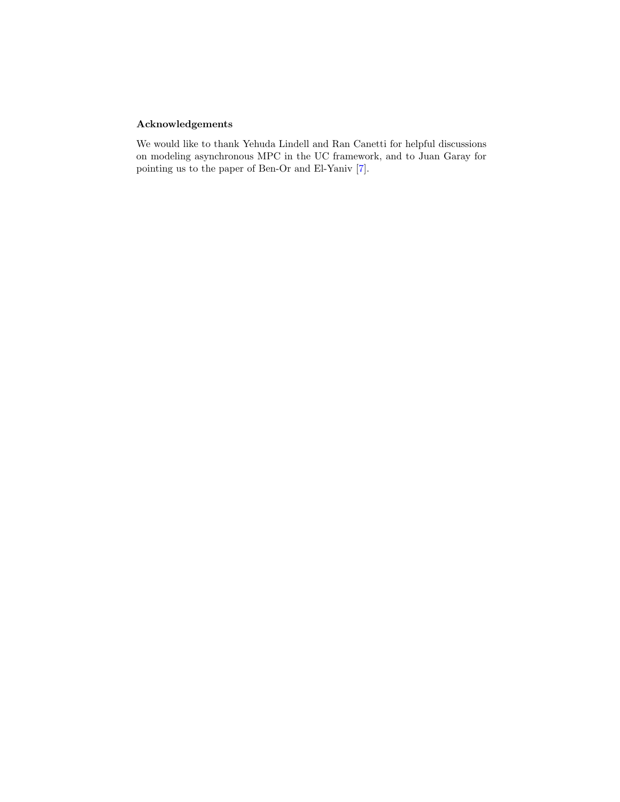### Acknowledgements

We would like to thank Yehuda Lindell and Ran Canetti for helpful discussions on modeling asynchronous MPC in the UC framework, and to Juan Garay for pointing us to the paper of Ben-Or and El-Yaniv [\[7\]](#page-23-9).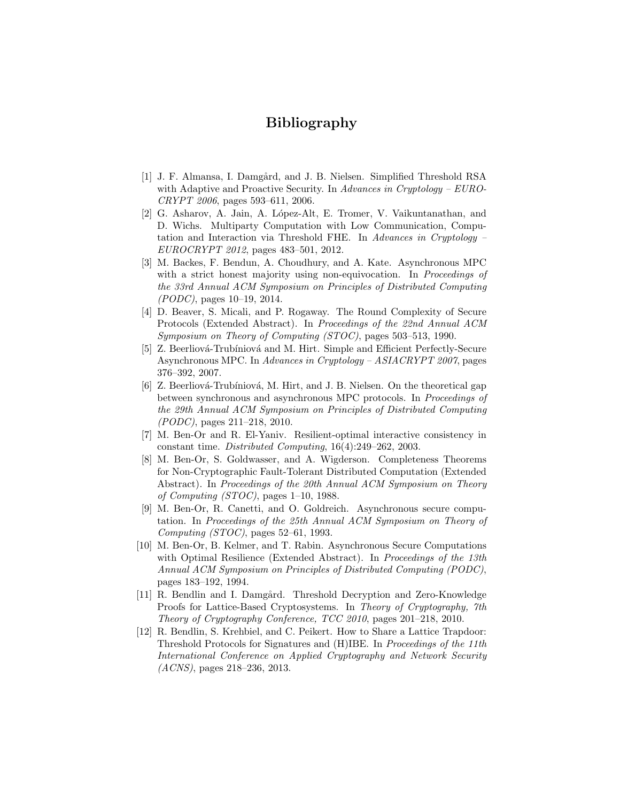# Bibliography

- <span id="page-23-11"></span>[1] J. F. Almansa, I. Damgård, and J. B. Nielsen. Simplified Threshold RSA with Adaptive and Proactive Security. In Advances in Cryptology – EURO-CRYPT 2006, pages 593–611, 2006.
- <span id="page-23-4"></span>[2] G. Asharov, A. Jain, A. López-Alt, E. Tromer, V. Vaikuntanathan, and D. Wichs. Multiparty Computation with Low Communication, Computation and Interaction via Threshold FHE. In Advances in Cryptology – EUROCRYPT 2012, pages 483–501, 2012.
- <span id="page-23-6"></span>[3] M. Backes, F. Bendun, A. Choudhury, and A. Kate. Asynchronous MPC with a strict honest majority using non-equivocation. In *Proceedings of* the 33rd Annual ACM Symposium on Principles of Distributed Computing (PODC), pages 10–19, 2014.
- <span id="page-23-3"></span>[4] D. Beaver, S. Micali, and P. Rogaway. The Round Complexity of Secure Protocols (Extended Abstract). In Proceedings of the 22nd Annual ACM Symposium on Theory of Computing (STOC), pages 503–513, 1990.
- <span id="page-23-10"></span>[5] Z. Beerliová-Trubíniová and M. Hirt. Simple and Efficient Perfectly-Secure Asynchronous MPC. In Advances in Cryptology – ASIACRYPT 2007, pages 376–392, 2007.
- <span id="page-23-5"></span>[6] Z. Beerliová-Trubíniová, M. Hirt, and J. B. Nielsen. On the theoretical gap between synchronous and asynchronous MPC protocols. In Proceedings of the 29th Annual ACM Symposium on Principles of Distributed Computing (PODC), pages 211–218, 2010.
- <span id="page-23-9"></span>[7] M. Ben-Or and R. El-Yaniv. Resilient-optimal interactive consistency in constant time. Distributed Computing, 16(4):249–262, 2003.
- <span id="page-23-2"></span>[8] M. Ben-Or, S. Goldwasser, and A. Wigderson. Completeness Theorems for Non-Cryptographic Fault-Tolerant Distributed Computation (Extended Abstract). In Proceedings of the 20th Annual ACM Symposium on Theory of Computing (STOC), pages 1–10, 1988.
- <span id="page-23-0"></span>[9] M. Ben-Or, R. Canetti, and O. Goldreich. Asynchronous secure computation. In Proceedings of the 25th Annual ACM Symposium on Theory of Computing (STOC), pages 52–61, 1993.
- <span id="page-23-1"></span>[10] M. Ben-Or, B. Kelmer, and T. Rabin. Asynchronous Secure Computations with Optimal Resilience (Extended Abstract). In Proceedings of the 13th Annual ACM Symposium on Principles of Distributed Computing (PODC), pages 183–192, 1994.
- <span id="page-23-7"></span>[11] R. Bendlin and I. Damgård. Threshold Decryption and Zero-Knowledge Proofs for Lattice-Based Cryptosystems. In Theory of Cryptography, 7th Theory of Cryptography Conference, TCC 2010, pages 201–218, 2010.
- <span id="page-23-8"></span>[12] R. Bendlin, S. Krehbiel, and C. Peikert. How to Share a Lattice Trapdoor: Threshold Protocols for Signatures and (H)IBE. In Proceedings of the 11th International Conference on Applied Cryptography and Network Security (ACNS), pages 218–236, 2013.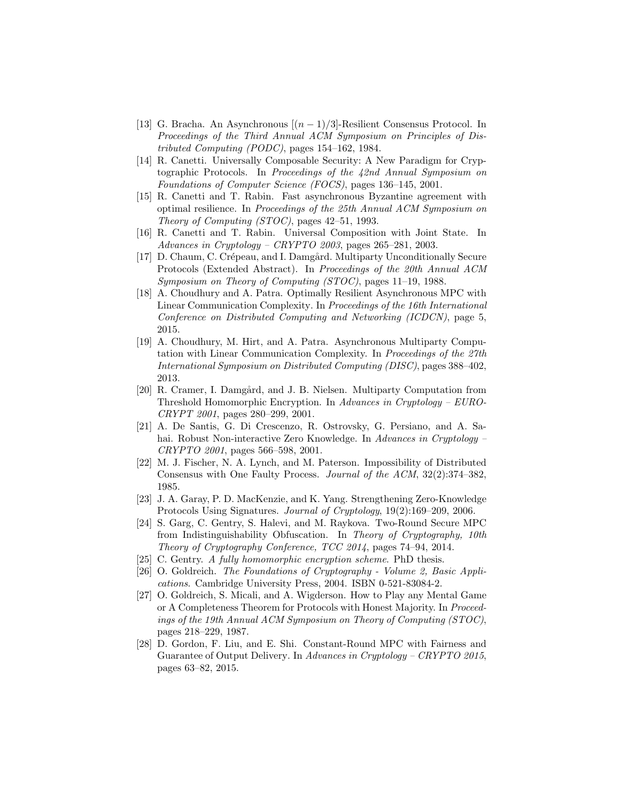- <span id="page-24-8"></span>[13] G. Bracha. An Asynchronous  $[(n-1)/3]$ -Resilient Consensus Protocol. In Proceedings of the Third Annual ACM Symposium on Principles of Distributed Computing (PODC), pages 154–162, 1984.
- <span id="page-24-0"></span>[14] R. Canetti. Universally Composable Security: A New Paradigm for Cryptographic Protocols. In Proceedings of the 42nd Annual Symposium on Foundations of Computer Science (FOCS), pages 136–145, 2001.
- <span id="page-24-15"></span>[15] R. Canetti and T. Rabin. Fast asynchronous Byzantine agreement with optimal resilience. In Proceedings of the 25th Annual ACM Symposium on Theory of Computing (STOC), pages 42–51, 1993.
- <span id="page-24-12"></span>[16] R. Canetti and T. Rabin. Universal Composition with Joint State. In Advances in Cryptology – CRYPTO 2003, pages 265–281, 2003.
- <span id="page-24-3"></span>[17] D. Chaum, C. Crépeau, and I. Damgård. Multiparty Unconditionally Secure Protocols (Extended Abstract). In Proceedings of the 20th Annual ACM Symposium on Theory of Computing (STOC), pages 11–19, 1988.
- <span id="page-24-10"></span>[18] A. Choudhury and A. Patra. Optimally Resilient Asynchronous MPC with Linear Communication Complexity. In Proceedings of the 16th International Conference on Distributed Computing and Networking (ICDCN), page 5, 2015.
- <span id="page-24-9"></span>[19] A. Choudhury, M. Hirt, and A. Patra. Asynchronous Multiparty Computation with Linear Communication Complexity. In Proceedings of the 27th International Symposium on Distributed Computing (DISC), pages 388–402, 2013.
- <span id="page-24-6"></span>[20] R. Cramer, I. Damgård, and J. B. Nielsen. Multiparty Computation from Threshold Homomorphic Encryption. In Advances in Cryptology – EURO-CRYPT 2001, pages 280–299, 2001.
- <span id="page-24-14"></span>[21] A. De Santis, G. Di Crescenzo, R. Ostrovsky, G. Persiano, and A. Sahai. Robust Non-interactive Zero Knowledge. In Advances in Cryptology -CRYPTO 2001, pages 566–598, 2001.
- <span id="page-24-7"></span>[22] M. J. Fischer, N. A. Lynch, and M. Paterson. Impossibility of Distributed Consensus with One Faulty Process. Journal of the ACM, 32(2):374–382, 1985.
- <span id="page-24-13"></span>[23] J. A. Garay, P. D. MacKenzie, and K. Yang. Strengthening Zero-Knowledge Protocols Using Signatures. Journal of Cryptology, 19(2):169–209, 2006.
- <span id="page-24-4"></span>[24] S. Garg, C. Gentry, S. Halevi, and M. Raykova. Two-Round Secure MPC from Indistinguishability Obfuscation. In Theory of Cryptography, 10th Theory of Cryptography Conference, TCC 2014, pages 74–94, 2014.
- <span id="page-24-11"></span>[25] C. Gentry. A fully homomorphic encryption scheme. PhD thesis.
- <span id="page-24-1"></span>[26] O. Goldreich. The Foundations of Cryptography - Volume 2, Basic Applications. Cambridge University Press, 2004. ISBN 0-521-83084-2.
- <span id="page-24-2"></span>[27] O. Goldreich, S. Micali, and A. Wigderson. How to Play any Mental Game or A Completeness Theorem for Protocols with Honest Majority. In Proceedings of the 19th Annual ACM Symposium on Theory of Computing (STOC), pages 218–229, 1987.
- <span id="page-24-5"></span>[28] D. Gordon, F. Liu, and E. Shi. Constant-Round MPC with Fairness and Guarantee of Output Delivery. In Advances in Cryptology – CRYPTO 2015, pages 63–82, 2015.